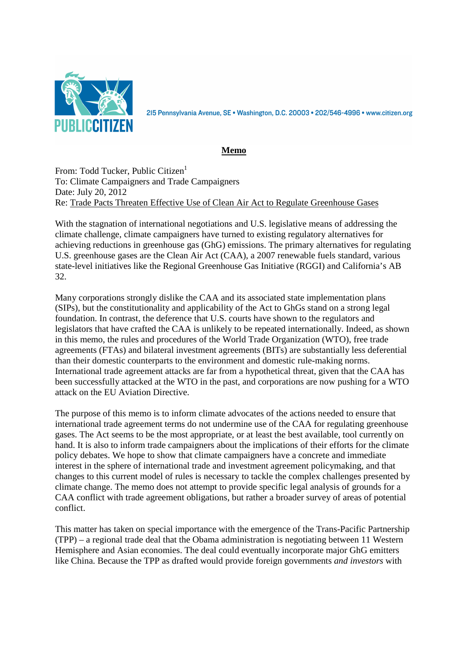

215 Pennsylvania Avenue, SE · Washington, D.C. 20003 · 202/546-4996 · www.citizen.org

# **Memo**

From: Todd Tucker, Public Citizen<sup>1</sup> To: Climate Campaigners and Trade Campaigners Date: July 20, 2012 Re: Trade Pacts Threaten Effective Use of Clean Air Act to Regulate Greenhouse Gases

With the stagnation of international negotiations and U.S. legislative means of addressing the climate challenge, climate campaigners have turned to existing regulatory alternatives for achieving reductions in greenhouse gas (GhG) emissions. The primary alternatives for regulating U.S. greenhouse gases are the Clean Air Act (CAA), a 2007 renewable fuels standard, various state-level initiatives like the Regional Greenhouse Gas Initiative (RGGI) and California's AB 32.

Many corporations strongly dislike the CAA and its associated state implementation plans (SIPs), but the constitutionality and applicability of the Act to GhGs stand on a strong legal foundation. In contrast, the deference that U.S. courts have shown to the regulators and legislators that have crafted the CAA is unlikely to be repeated internationally. Indeed, as shown in this memo, the rules and procedures of the World Trade Organization (WTO), free trade agreements (FTAs) and bilateral investment agreements (BITs) are substantially less deferential than their domestic counterparts to the environment and domestic rule-making norms. International trade agreement attacks are far from a hypothetical threat, given that the CAA has been successfully attacked at the WTO in the past, and corporations are now pushing for a WTO attack on the EU Aviation Directive.

The purpose of this memo is to inform climate advocates of the actions needed to ensure that international trade agreement terms do not undermine use of the CAA for regulating greenhouse gases. The Act seems to be the most appropriate, or at least the best available, tool currently on hand. It is also to inform trade campaigners about the implications of their efforts for the climate policy debates. We hope to show that climate campaigners have a concrete and immediate interest in the sphere of international trade and investment agreement policymaking, and that changes to this current model of rules is necessary to tackle the complex challenges presented by climate change. The memo does not attempt to provide specific legal analysis of grounds for a CAA conflict with trade agreement obligations, but rather a broader survey of areas of potential conflict.

This matter has taken on special importance with the emergence of the Trans-Pacific Partnership (TPP) – a regional trade deal that the Obama administration is negotiating between 11 Western Hemisphere and Asian economies. The deal could eventually incorporate major GhG emitters like China. Because the TPP as drafted would provide foreign governments *and investors* with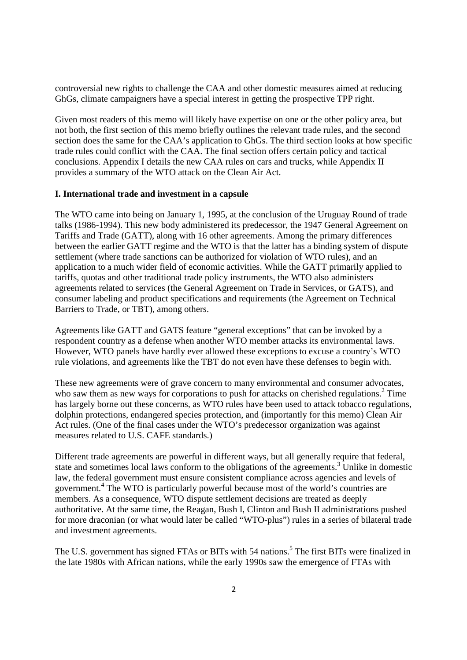controversial new rights to challenge the CAA and other domestic measures aimed at reducing GhGs, climate campaigners have a special interest in getting the prospective TPP right.

Given most readers of this memo will likely have expertise on one or the other policy area, but not both, the first section of this memo briefly outlines the relevant trade rules, and the second section does the same for the CAA's application to GhGs. The third section looks at how specific trade rules could conflict with the CAA. The final section offers certain policy and tactical conclusions. Appendix I details the new CAA rules on cars and trucks, while Appendix II provides a summary of the WTO attack on the Clean Air Act.

#### **I. International trade and investment in a capsule**

The WTO came into being on January 1, 1995, at the conclusion of the Uruguay Round of trade talks (1986-1994). This new body administered its predecessor, the 1947 General Agreement on Tariffs and Trade (GATT), along with 16 other agreements. Among the primary differences between the earlier GATT regime and the WTO is that the latter has a binding system of dispute settlement (where trade sanctions can be authorized for violation of WTO rules), and an application to a much wider field of economic activities. While the GATT primarily applied to tariffs, quotas and other traditional trade policy instruments, the WTO also administers agreements related to services (the General Agreement on Trade in Services, or GATS), and consumer labeling and product specifications and requirements (the Agreement on Technical Barriers to Trade, or TBT), among others.

Agreements like GATT and GATS feature "general exceptions" that can be invoked by a respondent country as a defense when another WTO member attacks its environmental laws. However, WTO panels have hardly ever allowed these exceptions to excuse a country's WTO rule violations, and agreements like the TBT do not even have these defenses to begin with.

These new agreements were of grave concern to many environmental and consumer advocates, who saw them as new ways for corporations to push for attacks on cherished regulations.<sup>2</sup> Time has largely borne out these concerns, as WTO rules have been used to attack tobacco regulations, dolphin protections, endangered species protection, and (importantly for this memo) Clean Air Act rules. (One of the final cases under the WTO's predecessor organization was against measures related to U.S. CAFE standards.)

Different trade agreements are powerful in different ways, but all generally require that federal, state and sometimes local laws conform to the obligations of the agreements.<sup>3</sup> Unlike in domestic law, the federal government must ensure consistent compliance across agencies and levels of government.<sup>4</sup> The WTO is particularly powerful because most of the world's countries are members. As a consequence, WTO dispute settlement decisions are treated as deeply authoritative. At the same time, the Reagan, Bush I, Clinton and Bush II administrations pushed for more draconian (or what would later be called "WTO-plus") rules in a series of bilateral trade and investment agreements.

The U.S. government has signed FTAs or BITs with 54 nations.<sup>5</sup> The first BITs were finalized in the late 1980s with African nations, while the early 1990s saw the emergence of FTAs with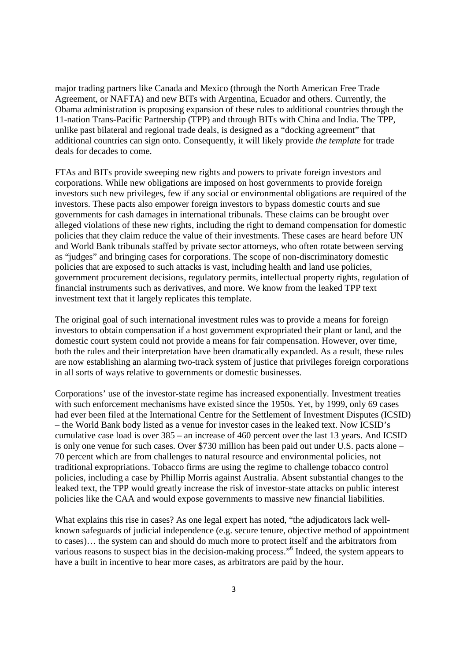major trading partners like Canada and Mexico (through the North American Free Trade Agreement, or NAFTA) and new BITs with Argentina, Ecuador and others. Currently, the Obama administration is proposing expansion of these rules to additional countries through the 11-nation Trans-Pacific Partnership (TPP) and through BITs with China and India. The TPP, unlike past bilateral and regional trade deals, is designed as a "docking agreement" that additional countries can sign onto. Consequently, it will likely provide *the template* for trade deals for decades to come.

FTAs and BITs provide sweeping new rights and powers to private foreign investors and corporations. While new obligations are imposed on host governments to provide foreign investors such new privileges, few if any social or environmental obligations are required of the investors. These pacts also empower foreign investors to bypass domestic courts and sue governments for cash damages in international tribunals. These claims can be brought over alleged violations of these new rights, including the right to demand compensation for domestic policies that they claim reduce the value of their investments. These cases are heard before UN and World Bank tribunals staffed by private sector attorneys, who often rotate between serving as "judges" and bringing cases for corporations. The scope of non-discriminatory domestic policies that are exposed to such attacks is vast, including health and land use policies, government procurement decisions, regulatory permits, intellectual property rights, regulation of financial instruments such as derivatives, and more. We know from the leaked TPP text investment text that it largely replicates this template.

The original goal of such international investment rules was to provide a means for foreign investors to obtain compensation if a host government expropriated their plant or land, and the domestic court system could not provide a means for fair compensation. However, over time, both the rules and their interpretation have been dramatically expanded. As a result, these rules are now establishing an alarming two-track system of justice that privileges foreign corporations in all sorts of ways relative to governments or domestic businesses.

Corporations' use of the investor-state regime has increased exponentially. Investment treaties with such enforcement mechanisms have existed since the 1950s. Yet, by 1999, only 69 cases had ever been filed at the International Centre for the Settlement of Investment Disputes (ICSID) – the World Bank body listed as a venue for investor cases in the leaked text. Now ICSID's cumulative case load is over 385 – an increase of 460 percent over the last 13 years. And ICSID is only one venue for such cases. Over \$730 million has been paid out under U.S. pacts alone – 70 percent which are from challenges to natural resource and environmental policies, not traditional expropriations. Tobacco firms are using the regime to challenge tobacco control policies, including a case by Phillip Morris against Australia. Absent substantial changes to the leaked text, the TPP would greatly increase the risk of investor-state attacks on public interest policies like the CAA and would expose governments to massive new financial liabilities.

What explains this rise in cases? As one legal expert has noted, "the adjudicators lack wellknown safeguards of judicial independence (e.g. secure tenure, objective method of appointment to cases)… the system can and should do much more to protect itself and the arbitrators from various reasons to suspect bias in the decision-making process."<sup>6</sup> Indeed, the system appears to have a built in incentive to hear more cases, as arbitrators are paid by the hour.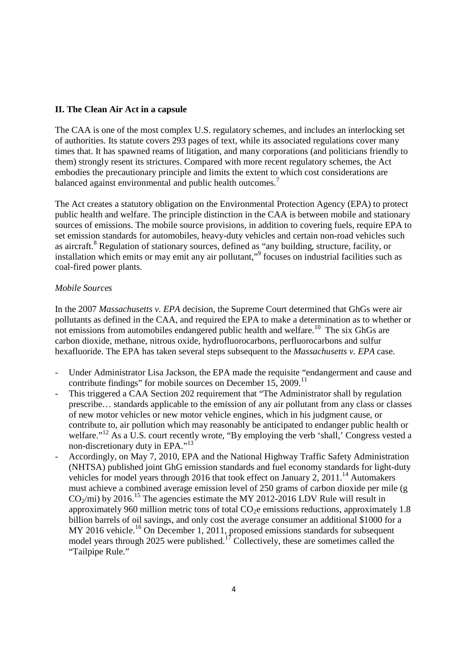# **II. The Clean Air Act in a capsule**

The CAA is one of the most complex U.S. regulatory schemes, and includes an interlocking set of authorities. Its statute covers 293 pages of text, while its associated regulations cover many times that. It has spawned reams of litigation, and many corporations (and politicians friendly to them) strongly resent its strictures. Compared with more recent regulatory schemes, the Act embodies the precautionary principle and limits the extent to which cost considerations are balanced against environmental and public health outcomes.<sup>7</sup>

The Act creates a statutory obligation on the Environmental Protection Agency (EPA) to protect public health and welfare. The principle distinction in the CAA is between mobile and stationary sources of emissions. The mobile source provisions, in addition to covering fuels, require EPA to set emission standards for automobiles, heavy-duty vehicles and certain non-road vehicles such as aircraft.<sup>8</sup> Regulation of stationary sources, defined as "any building, structure, facility, or installation which emits or may emit any air pollutant,"<sup>9</sup> focuses on industrial facilities such as coal-fired power plants.

## *Mobile Sources*

In the 2007 *Massachusetts v. EPA* decision, the Supreme Court determined that GhGs were air pollutants as defined in the CAA, and required the EPA to make a determination as to whether or not emissions from automobiles endangered public health and welfare.<sup>10</sup> The six GhGs are carbon dioxide, methane, nitrous oxide, hydrofluorocarbons, perfluorocarbons and sulfur hexafluoride. The EPA has taken several steps subsequent to the *Massachusetts v. EPA* case.

- Under Administrator Lisa Jackson, the EPA made the requisite "endangerment and cause and contribute findings" for mobile sources on December  $15, 2009$ .<sup>11</sup>
- This triggered a CAA Section 202 requirement that "The Administrator shall by regulation prescribe… standards applicable to the emission of any air pollutant from any class or classes of new motor vehicles or new motor vehicle engines, which in his judgment cause, or contribute to, air pollution which may reasonably be anticipated to endanger public health or welfare."<sup>12</sup> As a U.S. court recently wrote, "By employing the verb 'shall,' Congress vested a non-discretionary duty in EPA."<sup>13</sup>
- Accordingly, on May 7, 2010, EPA and the National Highway Traffic Safety Administration (NHTSA) published joint GhG emission standards and fuel economy standards for light-duty vehicles for model years through 2016 that took effect on January 2, 2011.<sup>14</sup> Automakers must achieve a combined average emission level of 250 grams of carbon dioxide per mile (g  $CO<sub>2</sub>/mi$ ) by 2016.<sup>15</sup> The agencies estimate the MY 2012-2016 LDV Rule will result in approximately 960 million metric tons of total  $CO<sub>2</sub>e$  emissions reductions, approximately 1.8 billion barrels of oil savings, and only cost the average consumer an additional \$1000 for a MY 2016 vehicle.<sup>16</sup> On December 1, 2011, proposed emissions standards for subsequent model years through 2025 were published.<sup>17</sup> Collectively, these are sometimes called the "Tailpipe Rule."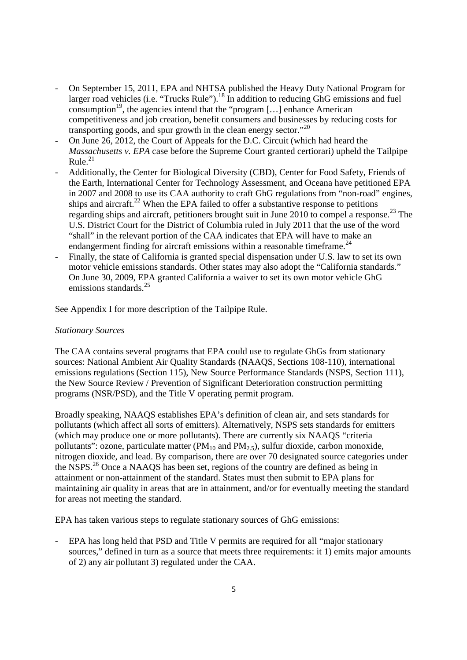- On September 15, 2011, EPA and NHTSA published the Heavy Duty National Program for larger road vehicles (i.e. "Trucks Rule").<sup>18</sup> In addition to reducing GhG emissions and fuel consumption<sup>19</sup>, the agencies intend that the "program [...] enhance American competitiveness and job creation, benefit consumers and businesses by reducing costs for transporting goods, and spur growth in the clean energy sector."<sup>20</sup>
- On June 26, 2012, the Court of Appeals for the D.C. Circuit (which had heard the *Massachusetts v. EPA* case before the Supreme Court granted certiorari) upheld the Tailpipe  $Rule<sup>21</sup>$
- Additionally, the Center for Biological Diversity (CBD), Center for Food Safety, Friends of the Earth, International Center for Technology Assessment, and Oceana have petitioned EPA in 2007 and 2008 to use its CAA authority to craft GhG regulations from "non-road" engines, ships and aircraft.<sup>22</sup> When the EPA failed to offer a substantive response to petitions regarding ships and aircraft, petitioners brought suit in June 2010 to compel a response.<sup>23</sup> The U.S. District Court for the District of Columbia ruled in July 2011 that the use of the word "shall" in the relevant portion of the CAA indicates that EPA will have to make an endangerment finding for aircraft emissions within a reasonable timeframe.<sup>24</sup>
- Finally, the state of California is granted special dispensation under U.S. law to set its own motor vehicle emissions standards. Other states may also adopt the "California standards." On June 30, 2009, EPA granted California a waiver to set its own motor vehicle GhG emissions standards.<sup>25</sup>

See Appendix I for more description of the Tailpipe Rule.

## *Stationary Sources*

The CAA contains several programs that EPA could use to regulate GhGs from stationary sources: National Ambient Air Quality Standards (NAAQS, Sections 108-110), international emissions regulations (Section 115), New Source Performance Standards (NSPS, Section 111), the New Source Review / Prevention of Significant Deterioration construction permitting programs (NSR/PSD), and the Title V operating permit program.

Broadly speaking, NAAQS establishes EPA's definition of clean air, and sets standards for pollutants (which affect all sorts of emitters). Alternatively, NSPS sets standards for emitters (which may produce one or more pollutants). There are currently six NAAQS "criteria pollutants": ozone, particulate matter ( $PM_{10}$  and  $PM_{25}$ ), sulfur dioxide, carbon monoxide, nitrogen dioxide, and lead. By comparison, there are over 70 designated source categories under the NSPS.<sup>26</sup> Once a NAAQS has been set, regions of the country are defined as being in attainment or non-attainment of the standard. States must then submit to EPA plans for maintaining air quality in areas that are in attainment, and/or for eventually meeting the standard for areas not meeting the standard.

EPA has taken various steps to regulate stationary sources of GhG emissions:

EPA has long held that PSD and Title V permits are required for all "major stationary" sources," defined in turn as a source that meets three requirements: it 1) emits major amounts of 2) any air pollutant 3) regulated under the CAA.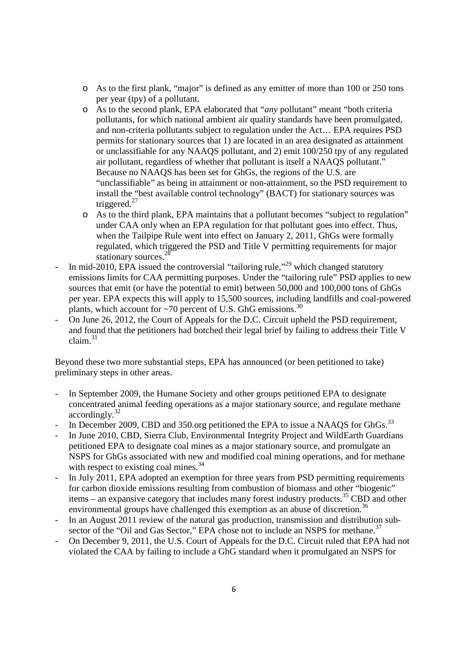- o As to the first plank, "major" is defined as any emitter of more than 100 or 250 tons per year (tpy) of a pollutant.
- o As to the second plank, EPA elaborated that "*any* pollutant" meant "both criteria pollutants, for which national ambient air quality standards have been promulgated, and non-criteria pollutants subject to regulation under the Act… EPA requires PSD permits for stationary sources that 1) are located in an area designated as attainment or unclassifiable for any NAAQS pollutant, and 2) emit 100/250 tpy of any regulated air pollutant, regardless of whether that pollutant is itself a NAAQS pollutant." Because no NAAQS has been set for GhGs, the regions of the U.S. are "unclassifiable" as being in attainment or non-attainment, so the PSD requirement to install the "best available control technology" (BACT) for stationary sources was triggered. $27$
- o As to the third plank, EPA maintains that a pollutant becomes "subject to regulation" under CAA only when an EPA regulation for that pollutant goes into effect. Thus, when the Tailpipe Rule went into effect on January 2, 2011, GhGs were formally regulated, which triggered the PSD and Title V permitting requirements for major stationary sources.<sup>28</sup>
- In mid-2010, EPA issued the controversial "tailoring rule,"<sup>29</sup> which changed statutory emissions limits for CAA permitting purposes. Under the "tailoring rule" PSD applies to new sources that emit (or have the potential to emit) between 50,000 and 100,000 tons of GhGs per year. EPA expects this will apply to 15,500 sources, including landfills and coal-powered plants, which account for  $\sim$  70 percent of U.S. GhG emissions.<sup>30</sup>
- On June 26, 2012, the Court of Appeals for the D.C. Circuit upheld the PSD requirement, and found that the petitioners had botched their legal brief by failing to address their Title V  $claim<sup>31</sup>$

Beyond these two more substantial steps, EPA has announced (or been petitioned to take) preliminary steps in other areas.

- In September 2009, the Humane Society and other groups petitioned EPA to designate concentrated animal feeding operations as a major stationary source, and regulate methane accordingly.<sup>32</sup>
- In December 2009, CBD and 350.org petitioned the EPA to issue a NAAQS for GhGs.<sup>33</sup>
- In June 2010, CBD, Sierra Club, Environmental Integrity Project and WildEarth Guardians petitioned EPA to designate coal mines as a major stationary source, and promulgate an NSPS for GhGs associated with new and modified coal mining operations, and for methane with respect to existing coal mines.<sup>34</sup>
- In July 2011, EPA adopted an exemption for three years from PSD permitting requirements for carbon dioxide emissions resulting from combustion of biomass and other "biogenic" items – an expansive category that includes many forest industry products.<sup>35</sup> CBD and other environmental groups have challenged this exemption as an abuse of discretion.<sup>36</sup>
- In an August 2011 review of the natural gas production, transmission and distribution subsector of the "Oil and Gas Sector," EPA chose not to include an NSPS for methane.<sup>37</sup>
- On December 9, 2011, the U.S. Court of Appeals for the D.C. Circuit ruled that EPA had not violated the CAA by failing to include a GhG standard when it promulgated an NSPS for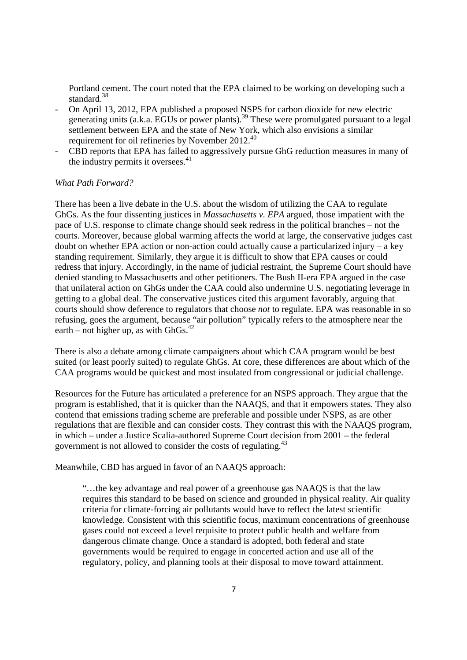Portland cement. The court noted that the EPA claimed to be working on developing such a standard.<sup>38</sup>

- On April 13, 2012, EPA published a proposed NSPS for carbon dioxide for new electric generating units (a.k.a. EGUs or power plants).<sup>39</sup> These were promulgated pursuant to a legal settlement between EPA and the state of New York, which also envisions a similar requirement for oil refineries by November  $2012.^{40}$
- CBD reports that EPA has failed to aggressively pursue GhG reduction measures in many of the industry permits it oversees. $41$

#### *What Path Forward?*

There has been a live debate in the U.S. about the wisdom of utilizing the CAA to regulate GhGs. As the four dissenting justices in *Massachusetts v. EPA* argued, those impatient with the pace of U.S. response to climate change should seek redress in the political branches – not the courts. Moreover, because global warming affects the world at large, the conservative judges cast doubt on whether EPA action or non-action could actually cause a particularized injury – a key standing requirement. Similarly, they argue it is difficult to show that EPA causes or could redress that injury. Accordingly, in the name of judicial restraint, the Supreme Court should have denied standing to Massachusetts and other petitioners. The Bush II-era EPA argued in the case that unilateral action on GhGs under the CAA could also undermine U.S. negotiating leverage in getting to a global deal. The conservative justices cited this argument favorably, arguing that courts should show deference to regulators that choose *not* to regulate. EPA was reasonable in so refusing, goes the argument, because "air pollution" typically refers to the atmosphere near the earth – not higher up, as with GhGs. $^{42}$ 

There is also a debate among climate campaigners about which CAA program would be best suited (or least poorly suited) to regulate GhGs. At core, these differences are about which of the CAA programs would be quickest and most insulated from congressional or judicial challenge.

Resources for the Future has articulated a preference for an NSPS approach. They argue that the program is established, that it is quicker than the NAAQS, and that it empowers states. They also contend that emissions trading scheme are preferable and possible under NSPS, as are other regulations that are flexible and can consider costs. They contrast this with the NAAQS program, in which – under a Justice Scalia-authored Supreme Court decision from 2001 – the federal government is not allowed to consider the costs of regulating.<sup>43</sup>

Meanwhile, CBD has argued in favor of an NAAQS approach:

"…the key advantage and real power of a greenhouse gas NAAQS is that the law requires this standard to be based on science and grounded in physical reality. Air quality criteria for climate-forcing air pollutants would have to reflect the latest scientific knowledge. Consistent with this scientific focus, maximum concentrations of greenhouse gases could not exceed a level requisite to protect public health and welfare from dangerous climate change. Once a standard is adopted, both federal and state governments would be required to engage in concerted action and use all of the regulatory, policy, and planning tools at their disposal to move toward attainment.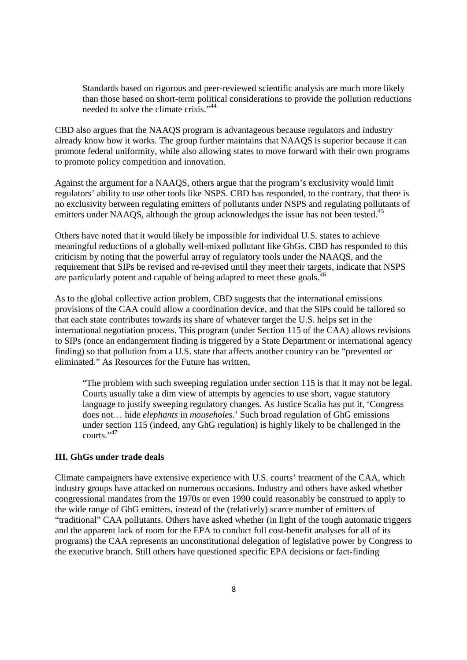Standards based on rigorous and peer-reviewed scientific analysis are much more likely than those based on short-term political considerations to provide the pollution reductions needed to solve the climate crisis."<sup>44</sup>

CBD also argues that the NAAQS program is advantageous because regulators and industry already know how it works. The group further maintains that NAAQS is superior because it can promote federal uniformity, while also allowing states to move forward with their own programs to promote policy competition and innovation.

Against the argument for a NAAQS, others argue that the program's exclusivity would limit regulators' ability to use other tools like NSPS. CBD has responded, to the contrary, that there is no exclusivity between regulating emitters of pollutants under NSPS and regulating pollutants of emitters under NAAQS, although the group acknowledges the issue has not been tested.<sup>45</sup>

Others have noted that it would likely be impossible for individual U.S. states to achieve meaningful reductions of a globally well-mixed pollutant like GhGs. CBD has responded to this criticism by noting that the powerful array of regulatory tools under the NAAQS, and the requirement that SIPs be revised and re-revised until they meet their targets, indicate that NSPS are particularly potent and capable of being adapted to meet these goals.<sup>46</sup>

As to the global collective action problem, CBD suggests that the international emissions provisions of the CAA could allow a coordination device, and that the SIPs could be tailored so that each state contributes towards its share of whatever target the U.S. helps set in the international negotiation process. This program (under Section 115 of the CAA) allows revisions to SIPs (once an endangerment finding is triggered by a State Department or international agency finding) so that pollution from a U.S. state that affects another country can be "prevented or eliminated." As Resources for the Future has written,

"The problem with such sweeping regulation under section 115 is that it may not be legal. Courts usually take a dim view of attempts by agencies to use short, vague statutory language to justify sweeping regulatory changes. As Justice Scalia has put it, 'Congress does not… hide *elephants* in *mouseholes*.' Such broad regulation of GhG emissions under section 115 (indeed, any GhG regulation) is highly likely to be challenged in the courts."<sup>47</sup>

## **III. GhGs under trade deals**

Climate campaigners have extensive experience with U.S. courts' treatment of the CAA, which industry groups have attacked on numerous occasions. Industry and others have asked whether congressional mandates from the 1970s or even 1990 could reasonably be construed to apply to the wide range of GhG emitters, instead of the (relatively) scarce number of emitters of "traditional" CAA pollutants. Others have asked whether (in light of the tough automatic triggers and the apparent lack of room for the EPA to conduct full cost-benefit analyses for all of its programs) the CAA represents an unconstitutional delegation of legislative power by Congress to the executive branch. Still others have questioned specific EPA decisions or fact-finding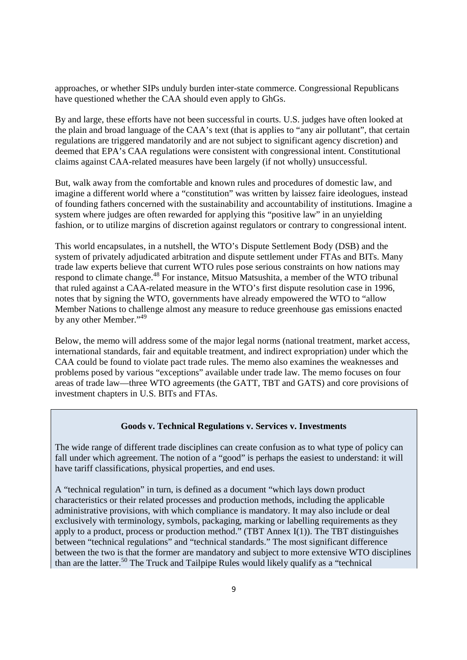approaches, or whether SIPs unduly burden inter-state commerce. Congressional Republicans have questioned whether the CAA should even apply to GhGs.

By and large, these efforts have not been successful in courts. U.S. judges have often looked at the plain and broad language of the CAA's text (that is applies to "any air pollutant", that certain regulations are triggered mandatorily and are not subject to significant agency discretion) and deemed that EPA's CAA regulations were consistent with congressional intent. Constitutional claims against CAA-related measures have been largely (if not wholly) unsuccessful.

But, walk away from the comfortable and known rules and procedures of domestic law, and imagine a different world where a "constitution" was written by laissez faire ideologues, instead of founding fathers concerned with the sustainability and accountability of institutions. Imagine a system where judges are often rewarded for applying this "positive law" in an unyielding fashion, or to utilize margins of discretion against regulators or contrary to congressional intent.

This world encapsulates, in a nutshell, the WTO's Dispute Settlement Body (DSB) and the system of privately adjudicated arbitration and dispute settlement under FTAs and BITs. Many trade law experts believe that current WTO rules pose serious constraints on how nations may respond to climate change.<sup>48</sup> For instance, Mitsuo Matsushita, a member of the WTO tribunal that ruled against a CAA-related measure in the WTO's first dispute resolution case in 1996, notes that by signing the WTO, governments have already empowered the WTO to "allow Member Nations to challenge almost any measure to reduce greenhouse gas emissions enacted by any other Member."<sup>49</sup>

Below, the memo will address some of the major legal norms (national treatment, market access, international standards, fair and equitable treatment, and indirect expropriation) under which the CAA could be found to violate pact trade rules. The memo also examines the weaknesses and problems posed by various "exceptions" available under trade law. The memo focuses on four areas of trade law—three WTO agreements (the GATT, TBT and GATS) and core provisions of investment chapters in U.S. BITs and FTAs.

#### **Goods v. Technical Regulations v. Services v. Investments**

The wide range of different trade disciplines can create confusion as to what type of policy can fall under which agreement. The notion of a "good" is perhaps the easiest to understand: it will have tariff classifications, physical properties, and end uses.

A "technical regulation" in turn, is defined as a document "which lays down product characteristics or their related processes and production methods, including the applicable administrative provisions, with which compliance is mandatory. It may also include or deal exclusively with terminology, symbols, packaging, marking or labelling requirements as they apply to a product, process or production method." (TBT Annex I(1)). The TBT distinguishes between "technical regulations" and "technical standards." The most significant difference between the two is that the former are mandatory and subject to more extensive WTO disciplines than are the latter.<sup>50</sup> The Truck and Tailpipe Rules would likely qualify as a "technical"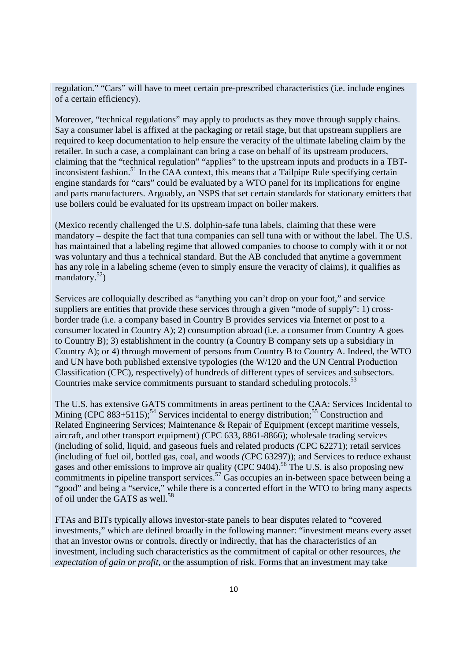regulation." "Cars" will have to meet certain pre-prescribed characteristics (i.e. include engines of a certain efficiency).

Moreover, "technical regulations" may apply to products as they move through supply chains. Say a consumer label is affixed at the packaging or retail stage, but that upstream suppliers are required to keep documentation to help ensure the veracity of the ultimate labeling claim by the retailer. In such a case, a complainant can bring a case on behalf of its upstream producers, claiming that the "technical regulation" "applies" to the upstream inputs and products in a TBTinconsistent fashion.<sup>51</sup> In the CAA context, this means that a Tailpipe Rule specifying certain engine standards for "cars" could be evaluated by a WTO panel for its implications for engine and parts manufacturers. Arguably, an NSPS that set certain standards for stationary emitters that use boilers could be evaluated for its upstream impact on boiler makers.

(Mexico recently challenged the U.S. dolphin-safe tuna labels, claiming that these were mandatory – despite the fact that tuna companies can sell tuna with or without the label. The U.S. has maintained that a labeling regime that allowed companies to choose to comply with it or not was voluntary and thus a technical standard. But the AB concluded that anytime a government has any role in a labeling scheme (even to simply ensure the veracity of claims), it qualifies as mandatory. $52$ )

Services are colloquially described as "anything you can't drop on your foot," and service suppliers are entities that provide these services through a given "mode of supply": 1) crossborder trade (i.e. a company based in Country B provides services via Internet or post to a consumer located in Country A); 2) consumption abroad (i.e. a consumer from Country A goes to Country B); 3) establishment in the country (a Country B company sets up a subsidiary in Country A); or 4) through movement of persons from Country B to Country A. Indeed, the WTO and UN have both published extensive typologies (the W/120 and the UN Central Production Classification (CPC), respectively) of hundreds of different types of services and subsectors. Countries make service commitments pursuant to standard scheduling protocols.<sup>53</sup>

The U.S. has extensive GATS commitments in areas pertinent to the CAA: Services Incidental to Mining (CPC 883+5115);<sup>54</sup> Services incidental to energy distribution;<sup>55</sup> Construction and Related Engineering Services; Maintenance & Repair of Equipment (except maritime vessels, aircraft, and other transport equipment) *(*CPC 633, 8861-8866); wholesale trading services (including of solid, liquid, and gaseous fuels and related products *(*CPC 62271); retail services (including of fuel oil, bottled gas, coal, and woods *(*CPC 63297)); and Services to reduce exhaust gases and other emissions to improve air quality (CPC 9404).<sup>56</sup> The U.S. is also proposing new commitments in pipeline transport services.<sup>57</sup> Gas occupies an in-between space between being a "good" and being a "service," while there is a concerted effort in the WTO to bring many aspects of oil under the GATS as well.<sup>58</sup>

FTAs and BITs typically allows investor-state panels to hear disputes related to "covered investments," which are defined broadly in the following manner: "investment means every asset that an investor owns or controls, directly or indirectly, that has the characteristics of an investment, including such characteristics as the commitment of capital or other resources, *the expectation of gain or profit,* or the assumption of risk. Forms that an investment may take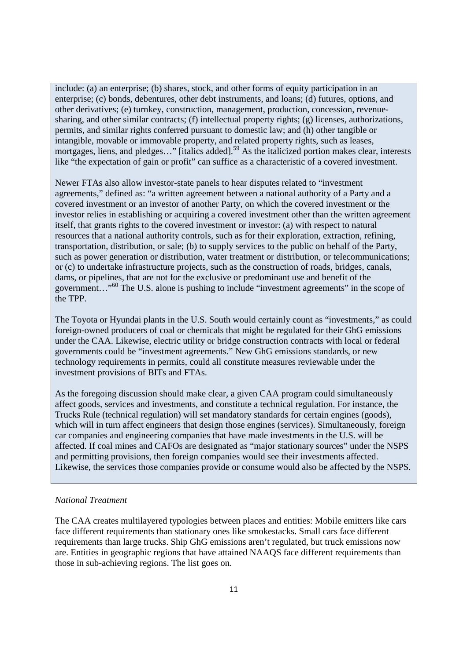include: (a) an enterprise; (b) shares, stock, and other forms of equity participation in an enterprise; (c) bonds, debentures, other debt instruments, and loans; (d) futures, options, and other derivatives; (e) turnkey, construction, management, production, concession, revenuesharing, and other similar contracts; (f) intellectual property rights; (g) licenses, authorizations, permits, and similar rights conferred pursuant to domestic law; and (h) other tangible or intangible, movable or immovable property, and related property rights, such as leases, mortgages, liens, and pledges..." [italics added].<sup>59</sup> As the italicized portion makes clear, interests like "the expectation of gain or profit" can suffice as a characteristic of a covered investment.

Newer FTAs also allow investor-state panels to hear disputes related to "investment agreements," defined as: "a written agreement between a national authority of a Party and a covered investment or an investor of another Party, on which the covered investment or the investor relies in establishing or acquiring a covered investment other than the written agreement itself, that grants rights to the covered investment or investor: (a) with respect to natural resources that a national authority controls, such as for their exploration, extraction, refining, transportation, distribution, or sale; (b) to supply services to the public on behalf of the Party, such as power generation or distribution, water treatment or distribution, or telecommunications; or (c) to undertake infrastructure projects, such as the construction of roads, bridges, canals, dams, or pipelines, that are not for the exclusive or predominant use and benefit of the government…"<sup>60</sup> The U.S. alone is pushing to include "investment agreements" in the scope of the TPP.

The Toyota or Hyundai plants in the U.S. South would certainly count as "investments," as could foreign-owned producers of coal or chemicals that might be regulated for their GhG emissions under the CAA. Likewise, electric utility or bridge construction contracts with local or federal governments could be "investment agreements." New GhG emissions standards, or new technology requirements in permits, could all constitute measures reviewable under the investment provisions of BITs and FTAs.

As the foregoing discussion should make clear, a given CAA program could simultaneously affect goods, services and investments, and constitute a technical regulation. For instance, the Trucks Rule (technical regulation) will set mandatory standards for certain engines (goods), which will in turn affect engineers that design those engines (services). Simultaneously, foreign car companies and engineering companies that have made investments in the U.S. will be affected. If coal mines and CAFOs are designated as "major stationary sources" under the NSPS and permitting provisions, then foreign companies would see their investments affected. Likewise, the services those companies provide or consume would also be affected by the NSPS.

#### *National Treatment*

The CAA creates multilayered typologies between places and entities: Mobile emitters like cars face different requirements than stationary ones like smokestacks. Small cars face different requirements than large trucks. Ship GhG emissions aren't regulated, but truck emissions now are. Entities in geographic regions that have attained NAAQS face different requirements than those in sub-achieving regions. The list goes on.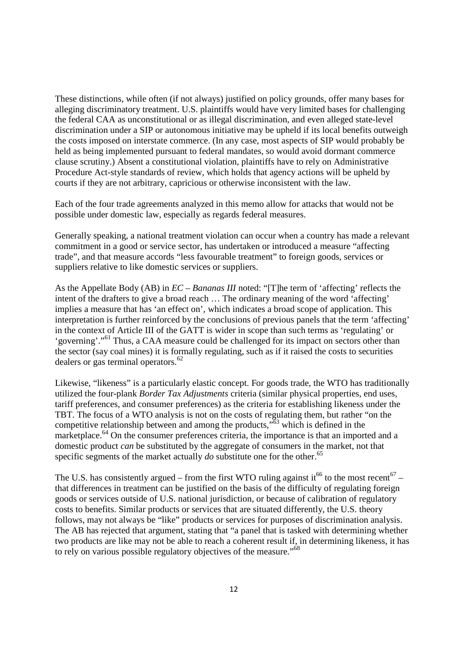These distinctions, while often (if not always) justified on policy grounds, offer many bases for alleging discriminatory treatment. U.S. plaintiffs would have very limited bases for challenging the federal CAA as unconstitutional or as illegal discrimination, and even alleged state-level discrimination under a SIP or autonomous initiative may be upheld if its local benefits outweigh the costs imposed on interstate commerce. (In any case, most aspects of SIP would probably be held as being implemented pursuant to federal mandates, so would avoid dormant commerce clause scrutiny.) Absent a constitutional violation, plaintiffs have to rely on Administrative Procedure Act-style standards of review, which holds that agency actions will be upheld by courts if they are not arbitrary, capricious or otherwise inconsistent with the law.

Each of the four trade agreements analyzed in this memo allow for attacks that would not be possible under domestic law, especially as regards federal measures.

Generally speaking, a national treatment violation can occur when a country has made a relevant commitment in a good or service sector, has undertaken or introduced a measure "affecting trade", and that measure accords "less favourable treatment" to foreign goods, services or suppliers relative to like domestic services or suppliers.

As the Appellate Body (AB) in *EC – Bananas III* noted: "[T]he term of 'affecting' reflects the intent of the drafters to give a broad reach … The ordinary meaning of the word 'affecting' implies a measure that has 'an effect on', which indicates a broad scope of application. This interpretation is further reinforced by the conclusions of previous panels that the term 'affecting' in the context of Article III of the GATT is wider in scope than such terms as 'regulating' or 'governing'."<sup>61</sup> Thus, a CAA measure could be challenged for its impact on sectors other than the sector (say coal mines) it is formally regulating, such as if it raised the costs to securities dealers or gas terminal operators. $62$ 

Likewise, "likeness" is a particularly elastic concept. For goods trade, the WTO has traditionally utilized the four-plank *Border Tax Adjustments* criteria (similar physical properties, end uses, tariff preferences, and consumer preferences) as the criteria for establishing likeness under the TBT. The focus of a WTO analysis is not on the costs of regulating them, but rather "on the competitive relationship between and among the products,"<sup>63</sup> which is defined in the marketplace.<sup>64</sup> On the consumer preferences criteria, the importance is that an imported and a domestic product *can* be substituted by the aggregate of consumers in the market, not that specific segments of the market actually  $do$  substitute one for the other.<sup>65</sup>

The U.S. has consistently argued – from the first WTO ruling against it<sup>66</sup> to the most recent<sup>67</sup> – that differences in treatment can be justified on the basis of the difficulty of regulating foreign goods or services outside of U.S. national jurisdiction, or because of calibration of regulatory costs to benefits. Similar products or services that are situated differently, the U.S. theory follows, may not always be "like" products or services for purposes of discrimination analysis. The AB has rejected that argument, stating that "a panel that is tasked with determining whether two products are like may not be able to reach a coherent result if, in determining likeness, it has to rely on various possible regulatory objectives of the measure."<sup>68</sup>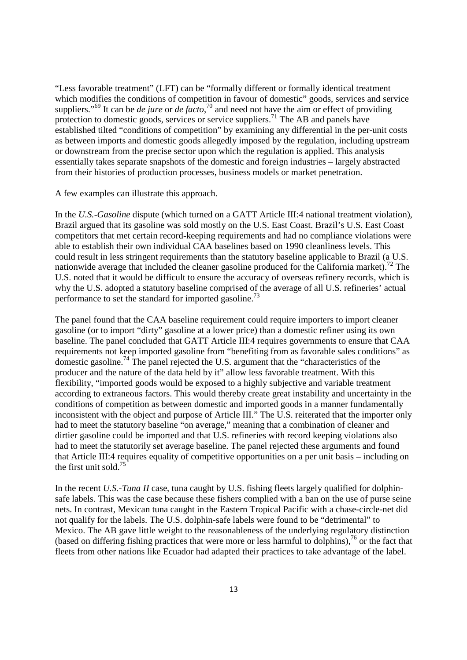"Less favorable treatment" (LFT) can be "formally different or formally identical treatment which modifies the conditions of competition in favour of domestic" goods, services and service suppliers."<sup>69</sup> It can be *de jure* or *de facto*, <sup>70</sup> and need not have the aim or effect of providing protection to domestic goods, services or service suppliers.<sup>71</sup> The AB and panels have established tilted "conditions of competition" by examining any differential in the per-unit costs as between imports and domestic goods allegedly imposed by the regulation, including upstream or downstream from the precise sector upon which the regulation is applied. This analysis essentially takes separate snapshots of the domestic and foreign industries – largely abstracted from their histories of production processes, business models or market penetration.

A few examples can illustrate this approach.

In the *U.S.-Gasoline* dispute (which turned on a GATT Article III:4 national treatment violation), Brazil argued that its gasoline was sold mostly on the U.S. East Coast. Brazil's U.S. East Coast competitors that met certain record-keeping requirements and had no compliance violations were able to establish their own individual CAA baselines based on 1990 cleanliness levels. This could result in less stringent requirements than the statutory baseline applicable to Brazil (a U.S. nationwide average that included the cleaner gasoline produced for the California market).<sup>72</sup> The U.S. noted that it would be difficult to ensure the accuracy of overseas refinery records, which is why the U.S. adopted a statutory baseline comprised of the average of all U.S. refineries' actual performance to set the standard for imported gasoline.<sup>73</sup>

The panel found that the CAA baseline requirement could require importers to import cleaner gasoline (or to import "dirty" gasoline at a lower price) than a domestic refiner using its own baseline. The panel concluded that GATT Article III:4 requires governments to ensure that CAA requirements not keep imported gasoline from "benefiting from as favorable sales conditions" as domestic gasoline.<sup>74</sup> The panel rejected the U.S. argument that the "characteristics of the producer and the nature of the data held by it" allow less favorable treatment. With this flexibility, "imported goods would be exposed to a highly subjective and variable treatment according to extraneous factors. This would thereby create great instability and uncertainty in the conditions of competition as between domestic and imported goods in a manner fundamentally inconsistent with the object and purpose of Article III." The U.S. reiterated that the importer only had to meet the statutory baseline "on average," meaning that a combination of cleaner and dirtier gasoline could be imported and that U.S. refineries with record keeping violations also had to meet the statutorily set average baseline. The panel rejected these arguments and found that Article III:4 requires equality of competitive opportunities on a per unit basis – including on the first unit sold.<sup>75</sup>

In the recent *U.S.-Tuna II* case, tuna caught by U.S. fishing fleets largely qualified for dolphinsafe labels. This was the case because these fishers complied with a ban on the use of purse seine nets. In contrast, Mexican tuna caught in the Eastern Tropical Pacific with a chase-circle-net did not qualify for the labels. The U.S. dolphin-safe labels were found to be "detrimental" to Mexico. The AB gave little weight to the reasonableness of the underlying regulatory distinction (based on differing fishing practices that were more or less harmful to dolphins),<sup>76</sup> or the fact that fleets from other nations like Ecuador had adapted their practices to take advantage of the label.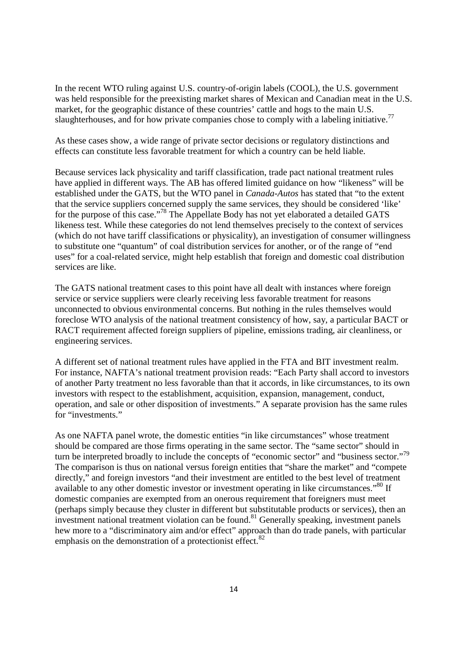In the recent WTO ruling against U.S. country-of-origin labels (COOL), the U.S. government was held responsible for the preexisting market shares of Mexican and Canadian meat in the U.S. market, for the geographic distance of these countries' cattle and hogs to the main U.S. slaughterhouses, and for how private companies chose to comply with a labeling initiative.<sup>77</sup>

As these cases show, a wide range of private sector decisions or regulatory distinctions and effects can constitute less favorable treatment for which a country can be held liable.

Because services lack physicality and tariff classification, trade pact national treatment rules have applied in different ways. The AB has offered limited guidance on how "likeness" will be established under the GATS, but the WTO panel in *Canada-Autos* has stated that "to the extent that the service suppliers concerned supply the same services, they should be considered 'like' for the purpose of this case."<sup>78</sup> The Appellate Body has not yet elaborated a detailed GATS likeness test. While these categories do not lend themselves precisely to the context of services (which do not have tariff classifications or physicality), an investigation of consumer willingness to substitute one "quantum" of coal distribution services for another, or of the range of "end uses" for a coal-related service, might help establish that foreign and domestic coal distribution services are like.

The GATS national treatment cases to this point have all dealt with instances where foreign service or service suppliers were clearly receiving less favorable treatment for reasons unconnected to obvious environmental concerns. But nothing in the rules themselves would foreclose WTO analysis of the national treatment consistency of how, say, a particular BACT or RACT requirement affected foreign suppliers of pipeline, emissions trading, air cleanliness, or engineering services.

A different set of national treatment rules have applied in the FTA and BIT investment realm. For instance, NAFTA's national treatment provision reads: "Each Party shall accord to investors of another Party treatment no less favorable than that it accords, in like circumstances, to its own investors with respect to the establishment, acquisition, expansion, management, conduct, operation, and sale or other disposition of investments." A separate provision has the same rules for "investments."

As one NAFTA panel wrote, the domestic entities "in like circumstances" whose treatment should be compared are those firms operating in the same sector. The "same sector" should in turn be interpreted broadly to include the concepts of "economic sector" and "business sector."<sup>79</sup> The comparison is thus on national versus foreign entities that "share the market" and "compete directly," and foreign investors "and their investment are entitled to the best level of treatment available to any other domestic investor or investment operating in like circumstances.<sup>80</sup> If domestic companies are exempted from an onerous requirement that foreigners must meet (perhaps simply because they cluster in different but substitutable products or services), then an investment national treatment violation can be found.<sup>81</sup> Generally speaking, investment panels hew more to a "discriminatory aim and/or effect" approach than do trade panels, with particular emphasis on the demonstration of a protectionist effect.<sup>82</sup>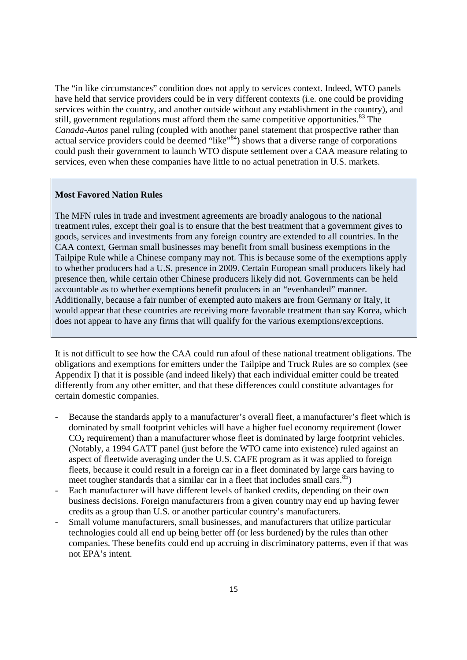The "in like circumstances" condition does not apply to services context. Indeed, WTO panels have held that service providers could be in very different contexts (i.e. one could be providing services within the country, and another outside without any establishment in the country), and still, government regulations must afford them the same competitive opportunities. $83$  The *Canada-Autos* panel ruling (coupled with another panel statement that prospective rather than actual service providers could be deemed "like"<sup>84</sup>) shows that a diverse range of corporations could push their government to launch WTO dispute settlement over a CAA measure relating to services, even when these companies have little to no actual penetration in U.S. markets.

#### **Most Favored Nation Rules**

The MFN rules in trade and investment agreements are broadly analogous to the national treatment rules, except their goal is to ensure that the best treatment that a government gives to goods, services and investments from any foreign country are extended to all countries. In the CAA context, German small businesses may benefit from small business exemptions in the Tailpipe Rule while a Chinese company may not. This is because some of the exemptions apply to whether producers had a U.S. presence in 2009. Certain European small producers likely had presence then, while certain other Chinese producers likely did not. Governments can be held accountable as to whether exemptions benefit producers in an "evenhanded" manner. Additionally, because a fair number of exempted auto makers are from Germany or Italy, it would appear that these countries are receiving more favorable treatment than say Korea, which does not appear to have any firms that will qualify for the various exemptions/exceptions.

It is not difficult to see how the CAA could run afoul of these national treatment obligations. The obligations and exemptions for emitters under the Tailpipe and Truck Rules are so complex (see Appendix I) that it is possible (and indeed likely) that each individual emitter could be treated differently from any other emitter, and that these differences could constitute advantages for certain domestic companies.

- Because the standards apply to a manufacturer's overall fleet, a manufacturer's fleet which is dominated by small footprint vehicles will have a higher fuel economy requirement (lower CO<sub>2</sub> requirement) than a manufacturer whose fleet is dominated by large footprint vehicles. (Notably, a 1994 GATT panel (just before the WTO came into existence) ruled against an aspect of fleetwide averaging under the U.S. CAFE program as it was applied to foreign fleets, because it could result in a foreign car in a fleet dominated by large cars having to meet tougher standards that a similar car in a fleet that includes small cars.<sup>85</sup>)
- Each manufacturer will have different levels of banked credits, depending on their own business decisions. Foreign manufacturers from a given country may end up having fewer credits as a group than U.S. or another particular country's manufacturers.
- Small volume manufacturers, small businesses, and manufacturers that utilize particular technologies could all end up being better off (or less burdened) by the rules than other companies. These benefits could end up accruing in discriminatory patterns, even if that was not EPA's intent.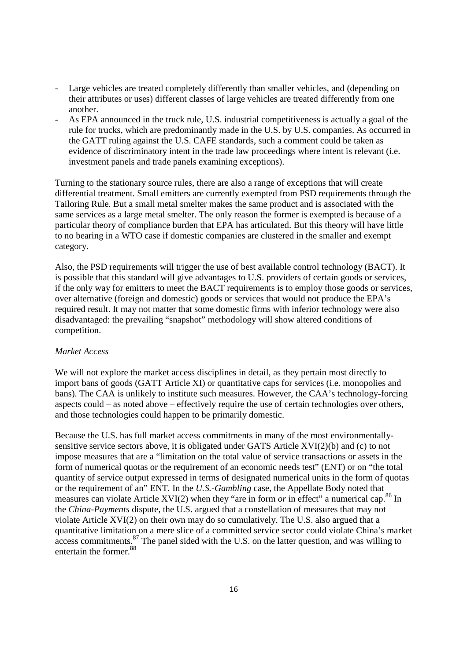- Large vehicles are treated completely differently than smaller vehicles, and (depending on their attributes or uses) different classes of large vehicles are treated differently from one another.
- As EPA announced in the truck rule, U.S. industrial competitiveness is actually a goal of the rule for trucks, which are predominantly made in the U.S. by U.S. companies. As occurred in the GATT ruling against the U.S. CAFE standards, such a comment could be taken as evidence of discriminatory intent in the trade law proceedings where intent is relevant (i.e. investment panels and trade panels examining exceptions).

Turning to the stationary source rules, there are also a range of exceptions that will create differential treatment. Small emitters are currently exempted from PSD requirements through the Tailoring Rule. But a small metal smelter makes the same product and is associated with the same services as a large metal smelter. The only reason the former is exempted is because of a particular theory of compliance burden that EPA has articulated. But this theory will have little to no bearing in a WTO case if domestic companies are clustered in the smaller and exempt category.

Also, the PSD requirements will trigger the use of best available control technology (BACT). It is possible that this standard will give advantages to U.S. providers of certain goods or services, if the only way for emitters to meet the BACT requirements is to employ those goods or services, over alternative (foreign and domestic) goods or services that would not produce the EPA's required result. It may not matter that some domestic firms with inferior technology were also disadvantaged: the prevailing "snapshot" methodology will show altered conditions of competition.

## *Market Access*

We will not explore the market access disciplines in detail, as they pertain most directly to import bans of goods (GATT Article XI) or quantitative caps for services (i.e. monopolies and bans). The CAA is unlikely to institute such measures. However, the CAA's technology-forcing aspects could – as noted above – effectively require the use of certain technologies over others, and those technologies could happen to be primarily domestic.

Because the U.S. has full market access commitments in many of the most environmentallysensitive service sectors above, it is obligated under GATS Article XVI(2)(b) and (c) to not impose measures that are a "limitation on the total value of service transactions or assets in the form of numerical quotas or the requirement of an economic needs test" (ENT) or on "the total quantity of service output expressed in terms of designated numerical units in the form of quotas or the requirement of an" ENT. In the *U.S.-Gambling* case, the Appellate Body noted that measures can violate Article XVI(2) when they "are in form  $or$  in effect" a numerical cap.<sup>86</sup> In the *China-Payments* dispute, the U.S. argued that a constellation of measures that may not violate Article XVI(2) on their own may do so cumulatively. The U.S. also argued that a quantitative limitation on a mere slice of a committed service sector could violate China's market  $\alpha$  access commitments.<sup>87</sup> The panel sided with the U.S. on the latter question, and was willing to entertain the former.<sup>88</sup>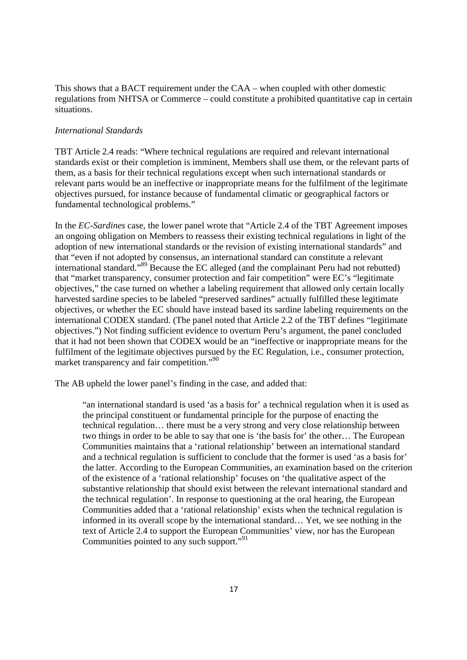This shows that a BACT requirement under the CAA – when coupled with other domestic regulations from NHTSA or Commerce – could constitute a prohibited quantitative cap in certain situations.

#### *International Standards*

TBT Article 2.4 reads: "Where technical regulations are required and relevant international standards exist or their completion is imminent, Members shall use them, or the relevant parts of them, as a basis for their technical regulations except when such international standards or relevant parts would be an ineffective or inappropriate means for the fulfilment of the legitimate objectives pursued, for instance because of fundamental climatic or geographical factors or fundamental technological problems."

In the *EC-Sardines* case*,* the lower panel wrote that "Article 2.4 of the TBT Agreement imposes an ongoing obligation on Members to reassess their existing technical regulations in light of the adoption of new international standards or the revision of existing international standards" and that "even if not adopted by consensus, an international standard can constitute a relevant international standard."<sup>89</sup> Because the EC alleged (and the complainant Peru had not rebutted) that "market transparency, consumer protection and fair competition" were EC's "legitimate objectives," the case turned on whether a labeling requirement that allowed only certain locally harvested sardine species to be labeled "preserved sardines" actually fulfilled these legitimate objectives, or whether the EC should have instead based its sardine labeling requirements on the international CODEX standard. (The panel noted that Article 2.2 of the TBT defines "legitimate objectives.") Not finding sufficient evidence to overturn Peru's argument, the panel concluded that it had not been shown that CODEX would be an "ineffective or inappropriate means for the fulfilment of the legitimate objectives pursued by the EC Regulation, i.e., consumer protection, market transparency and fair competition."<sup>90</sup>

The AB upheld the lower panel's finding in the case, and added that:

"an international standard is used 'as a basis for' a technical regulation when it is used as the principal constituent or fundamental principle for the purpose of enacting the technical regulation… there must be a very strong and very close relationship between two things in order to be able to say that one is 'the basis for' the other… The European Communities maintains that a 'rational relationship' between an international standard and a technical regulation is sufficient to conclude that the former is used 'as a basis for' the latter. According to the European Communities, an examination based on the criterion of the existence of a 'rational relationship' focuses on 'the qualitative aspect of the substantive relationship that should exist between the relevant international standard and the technical regulation'. In response to questioning at the oral hearing, the European Communities added that a 'rational relationship' exists when the technical regulation is informed in its overall scope by the international standard… Yet, we see nothing in the text of Article 2.4 to support the European Communities' view, nor has the European Communities pointed to any such support."<sup>91</sup>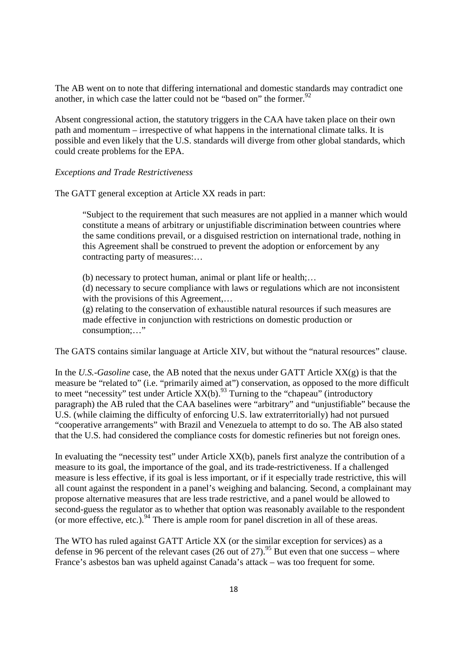The AB went on to note that differing international and domestic standards may contradict one another, in which case the latter could not be "based on" the former. $92$ 

Absent congressional action, the statutory triggers in the CAA have taken place on their own path and momentum – irrespective of what happens in the international climate talks. It is possible and even likely that the U.S. standards will diverge from other global standards, which could create problems for the EPA.

## *Exceptions and Trade Restrictiveness*

The GATT general exception at Article XX reads in part:

"Subject to the requirement that such measures are not applied in a manner which would constitute a means of arbitrary or unjustifiable discrimination between countries where the same conditions prevail, or a disguised restriction on international trade, nothing in this Agreement shall be construed to prevent the adoption or enforcement by any contracting party of measures:…

(b) necessary to protect human, animal or plant life or health;… (d) necessary to secure compliance with laws or regulations which are not inconsistent with the provisions of this Agreement.... (g) relating to the conservation of exhaustible natural resources if such measures are

made effective in conjunction with restrictions on domestic production or consumption;..."

The GATS contains similar language at Article XIV, but without the "natural resources" clause.

In the *U.S.-Gasoline* case, the AB noted that the nexus under GATT Article XX(g) is that the measure be "related to" (i.e. "primarily aimed at") conservation, as opposed to the more difficult to meet "necessity" test under Article  $XX(b)$ .<sup>93</sup> Turning to the "chapeau" (introductory paragraph) the AB ruled that the CAA baselines were "arbitrary" and "unjustifiable" because the U.S. (while claiming the difficulty of enforcing U.S. law extraterritorially) had not pursued "cooperative arrangements" with Brazil and Venezuela to attempt to do so. The AB also stated that the U.S. had considered the compliance costs for domestic refineries but not foreign ones.

In evaluating the "necessity test" under Article XX(b), panels first analyze the contribution of a measure to its goal, the importance of the goal, and its trade-restrictiveness. If a challenged measure is less effective, if its goal is less important, or if it especially trade restrictive, this will all count against the respondent in a panel's weighing and balancing. Second, a complainant may propose alternative measures that are less trade restrictive, and a panel would be allowed to second-guess the regulator as to whether that option was reasonably available to the respondent (or more effective, etc.).<sup>94</sup> There is ample room for panel discretion in all of these areas.

The WTO has ruled against GATT Article XX (or the similar exception for services) as a defense in 96 percent of the relevant cases (26 out of 27).<sup>95</sup> But even that one success – where France's asbestos ban was upheld against Canada's attack – was too frequent for some.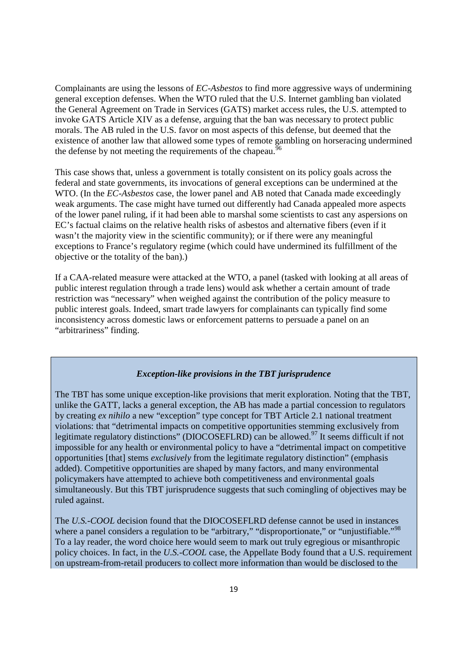Complainants are using the lessons of *EC-Asbestos* to find more aggressive ways of undermining general exception defenses. When the WTO ruled that the U.S. Internet gambling ban violated the General Agreement on Trade in Services (GATS) market access rules, the U.S. attempted to invoke GATS Article XIV as a defense, arguing that the ban was necessary to protect public morals. The AB ruled in the U.S. favor on most aspects of this defense, but deemed that the existence of another law that allowed some types of remote gambling on horseracing undermined the defense by not meeting the requirements of the chapeau.<sup>9</sup>

This case shows that, unless a government is totally consistent on its policy goals across the federal and state governments, its invocations of general exceptions can be undermined at the WTO. (In the *EC-Asbestos* case, the lower panel and AB noted that Canada made exceedingly weak arguments. The case might have turned out differently had Canada appealed more aspects of the lower panel ruling, if it had been able to marshal some scientists to cast any aspersions on EC's factual claims on the relative health risks of asbestos and alternative fibers (even if it wasn't the majority view in the scientific community); or if there were any meaningful exceptions to France's regulatory regime (which could have undermined its fulfillment of the objective or the totality of the ban).)

If a CAA-related measure were attacked at the WTO, a panel (tasked with looking at all areas of public interest regulation through a trade lens) would ask whether a certain amount of trade restriction was "necessary" when weighed against the contribution of the policy measure to public interest goals. Indeed, smart trade lawyers for complainants can typically find some inconsistency across domestic laws or enforcement patterns to persuade a panel on an "arbitrariness" finding.

# *Exception-like provisions in the TBT jurisprudence*

The TBT has some unique exception-like provisions that merit exploration. Noting that the TBT, unlike the GATT, lacks a general exception, the AB has made a partial concession to regulators by creating *ex nihilo* a new "exception" type concept for TBT Article 2.1 national treatment violations: that "detrimental impacts on competitive opportunities stemming exclusively from legitimate regulatory distinctions" (DIOCOSEFLRD) can be allowed.<sup>97</sup> It seems difficult if not impossible for any health or environmental policy to have a "detrimental impact on competitive opportunities [that] stems *exclusively* from the legitimate regulatory distinction" (emphasis added). Competitive opportunities are shaped by many factors, and many environmental policymakers have attempted to achieve both competitiveness and environmental goals simultaneously. But this TBT jurisprudence suggests that such comingling of objectives may be ruled against.

The *U.S.-COOL* decision found that the DIOCOSEFLRD defense cannot be used in instances where a panel considers a regulation to be "arbitrary," "disproportionate," or "unjustifiable."<sup>98</sup> To a lay reader, the word choice here would seem to mark out truly egregious or misanthropic policy choices. In fact, in the *U.S.-COOL* case, the Appellate Body found that a U.S. requirement on upstream-from-retail producers to collect more information than would be disclosed to the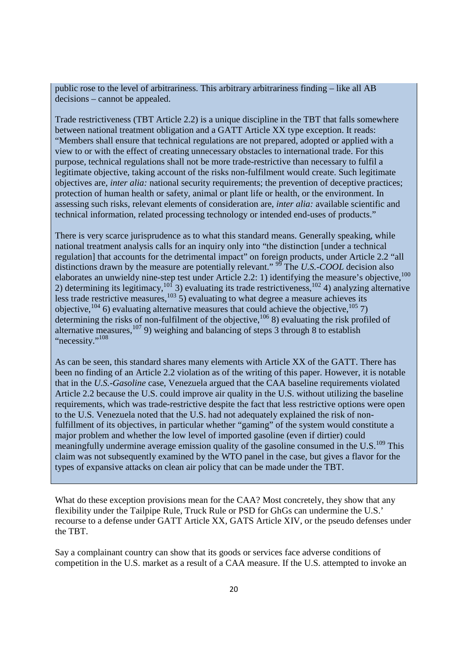public rose to the level of arbitrariness. This arbitrary arbitrariness finding – like all AB decisions – cannot be appealed.

Trade restrictiveness (TBT Article 2.2) is a unique discipline in the TBT that falls somewhere between national treatment obligation and a GATT Article XX type exception. It reads: "Members shall ensure that technical regulations are not prepared, adopted or applied with a view to or with the effect of creating unnecessary obstacles to international trade. For this purpose, technical regulations shall not be more trade-restrictive than necessary to fulfil a legitimate objective, taking account of the risks non-fulfilment would create. Such legitimate objectives are, *inter alia:* national security requirements; the prevention of deceptive practices; protection of human health or safety, animal or plant life or health, or the environment. In assessing such risks, relevant elements of consideration are, *inter alia:* available scientific and technical information, related processing technology or intended end-uses of products."

There is very scarce jurisprudence as to what this standard means. Generally speaking, while national treatment analysis calls for an inquiry only into "the distinction [under a technical regulation] that accounts for the detrimental impact" on foreign products, under Article 2.2 "all distinctions drawn by the measure are potentially relevant." <sup>99</sup> The *U.S.-COOL* decision also elaborates an unwieldy nine-step test under Article 2.2: 1) identifying the measure's objective, <sup>100</sup> 2) determining its legitimacy,<sup>101</sup> 3) evaluating its trade restrictiveness,<sup>102</sup> 4) analyzing alternative less trade restrictive measures,  $103$  5) evaluating to what degree a measure achieves its objective,  $^{104}$  6) evaluating alternative measures that could achieve the objective,  $^{105}$  7) determining the risks of non-fulfilment of the objective,  $106$  8) evaluating the risk profiled of alternative measures, $107$  9) weighing and balancing of steps 3 through 8 to establish "necessity."<sup>108</sup>

As can be seen, this standard shares many elements with Article XX of the GATT. There has been no finding of an Article 2.2 violation as of the writing of this paper. However, it is notable that in the *U.S.-Gasoline* case, Venezuela argued that the CAA baseline requirements violated Article 2.2 because the U.S. could improve air quality in the U.S. without utilizing the baseline requirements, which was trade-restrictive despite the fact that less restrictive options were open to the U.S. Venezuela noted that the U.S. had not adequately explained the risk of nonfulfillment of its objectives, in particular whether "gaming" of the system would constitute a major problem and whether the low level of imported gasoline (even if dirtier) could meaningfully undermine average emission quality of the gasoline consumed in the U.S.<sup>109</sup> This claim was not subsequently examined by the WTO panel in the case, but gives a flavor for the types of expansive attacks on clean air policy that can be made under the TBT.

What do these exception provisions mean for the CAA? Most concretely, they show that any flexibility under the Tailpipe Rule, Truck Rule or PSD for GhGs can undermine the U.S.' recourse to a defense under GATT Article XX, GATS Article XIV, or the pseudo defenses under the TBT.

Say a complainant country can show that its goods or services face adverse conditions of competition in the U.S. market as a result of a CAA measure. If the U.S. attempted to invoke an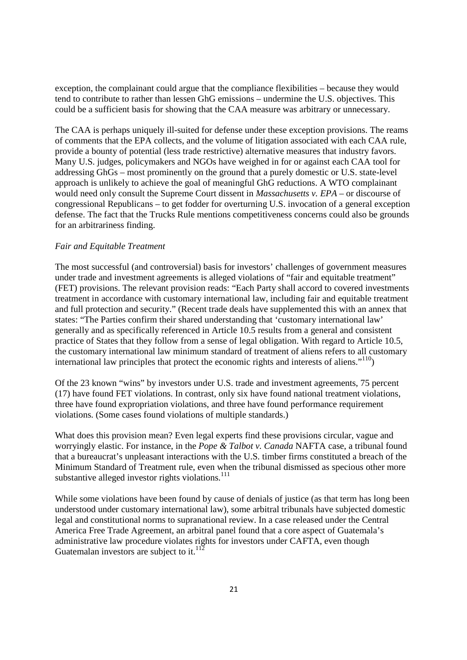exception, the complainant could argue that the compliance flexibilities – because they would tend to contribute to rather than lessen GhG emissions – undermine the U.S. objectives. This could be a sufficient basis for showing that the CAA measure was arbitrary or unnecessary.

The CAA is perhaps uniquely ill-suited for defense under these exception provisions. The reams of comments that the EPA collects, and the volume of litigation associated with each CAA rule, provide a bounty of potential (less trade restrictive) alternative measures that industry favors. Many U.S. judges, policymakers and NGOs have weighed in for or against each CAA tool for addressing GhGs – most prominently on the ground that a purely domestic or U.S. state-level approach is unlikely to achieve the goal of meaningful GhG reductions. A WTO complainant would need only consult the Supreme Court dissent in *Massachusetts v. EPA* – or discourse of congressional Republicans – to get fodder for overturning U.S. invocation of a general exception defense. The fact that the Trucks Rule mentions competitiveness concerns could also be grounds for an arbitrariness finding.

### *Fair and Equitable Treatment*

The most successful (and controversial) basis for investors' challenges of government measures under trade and investment agreements is alleged violations of "fair and equitable treatment" (FET) provisions. The relevant provision reads: "Each Party shall accord to covered investments treatment in accordance with customary international law, including fair and equitable treatment and full protection and security." (Recent trade deals have supplemented this with an annex that states: "The Parties confirm their shared understanding that 'customary international law' generally and as specifically referenced in Article 10.5 results from a general and consistent practice of States that they follow from a sense of legal obligation. With regard to Article 10.5, the customary international law minimum standard of treatment of aliens refers to all customary international law principles that protect the economic rights and interests of aliens."<sup>110</sup>)

Of the 23 known "wins" by investors under U.S. trade and investment agreements, 75 percent (17) have found FET violations. In contrast, only six have found national treatment violations, three have found expropriation violations, and three have found performance requirement violations. (Some cases found violations of multiple standards.)

What does this provision mean? Even legal experts find these provisions circular, vague and worryingly elastic. For instance, in the *Pope & Talbot v. Canada* NAFTA case, a tribunal found that a bureaucrat's unpleasant interactions with the U.S. timber firms constituted a breach of the Minimum Standard of Treatment rule, even when the tribunal dismissed as specious other more substantive alleged investor rights violations. $111$ 

While some violations have been found by cause of denials of justice (as that term has long been understood under customary international law), some arbitral tribunals have subjected domestic legal and constitutional norms to supranational review. In a case released under the Central America Free Trade Agreement, an arbitral panel found that a core aspect of Guatemala's administrative law procedure violates rights for investors under CAFTA, even though Guatemalan investors are subject to it. $^{112}$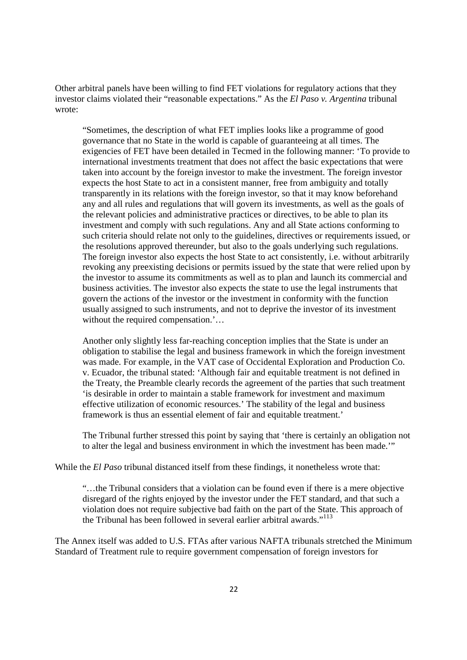Other arbitral panels have been willing to find FET violations for regulatory actions that they investor claims violated their "reasonable expectations." As the *El Paso v. Argentina* tribunal wrote:

"Sometimes, the description of what FET implies looks like a programme of good governance that no State in the world is capable of guaranteeing at all times. The exigencies of FET have been detailed in Tecmed in the following manner: 'To provide to international investments treatment that does not affect the basic expectations that were taken into account by the foreign investor to make the investment. The foreign investor expects the host State to act in a consistent manner, free from ambiguity and totally transparently in its relations with the foreign investor, so that it may know beforehand any and all rules and regulations that will govern its investments, as well as the goals of the relevant policies and administrative practices or directives, to be able to plan its investment and comply with such regulations. Any and all State actions conforming to such criteria should relate not only to the guidelines, directives or requirements issued, or the resolutions approved thereunder, but also to the goals underlying such regulations. The foreign investor also expects the host State to act consistently, i.e. without arbitrarily revoking any preexisting decisions or permits issued by the state that were relied upon by the investor to assume its commitments as well as to plan and launch its commercial and business activities. The investor also expects the state to use the legal instruments that govern the actions of the investor or the investment in conformity with the function usually assigned to such instruments, and not to deprive the investor of its investment without the required compensation.'…

Another only slightly less far-reaching conception implies that the State is under an obligation to stabilise the legal and business framework in which the foreign investment was made. For example, in the VAT case of Occidental Exploration and Production Co. v. Ecuador, the tribunal stated: 'Although fair and equitable treatment is not defined in the Treaty, the Preamble clearly records the agreement of the parties that such treatment 'is desirable in order to maintain a stable framework for investment and maximum effective utilization of economic resources.' The stability of the legal and business framework is thus an essential element of fair and equitable treatment.'

The Tribunal further stressed this point by saying that 'there is certainly an obligation not to alter the legal and business environment in which the investment has been made.'"

While the *El Paso* tribunal distanced itself from these findings, it nonetheless wrote that:

"…the Tribunal considers that a violation can be found even if there is a mere objective disregard of the rights enjoyed by the investor under the FET standard, and that such a violation does not require subjective bad faith on the part of the State. This approach of the Tribunal has been followed in several earlier arbitral awards."<sup>113</sup>

The Annex itself was added to U.S. FTAs after various NAFTA tribunals stretched the Minimum Standard of Treatment rule to require government compensation of foreign investors for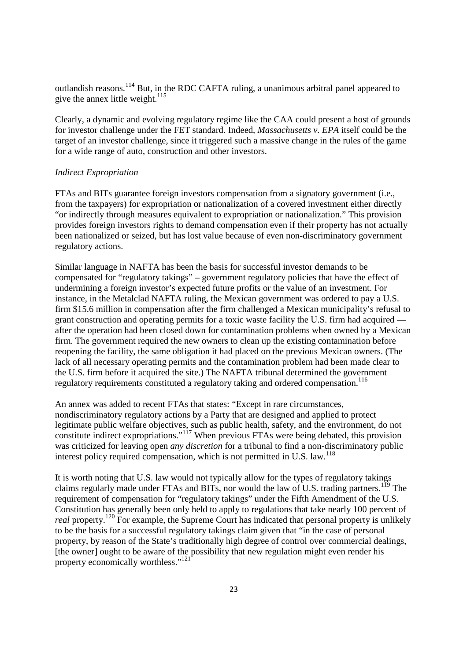outlandish reasons.<sup>114</sup> But, in the RDC CAFTA ruling, a unanimous arbitral panel appeared to give the annex little weight. $^{115}$ 

Clearly, a dynamic and evolving regulatory regime like the CAA could present a host of grounds for investor challenge under the FET standard. Indeed, *Massachusetts v. EPA* itself could be the target of an investor challenge, since it triggered such a massive change in the rules of the game for a wide range of auto, construction and other investors.

### *Indirect Expropriation*

FTAs and BITs guarantee foreign investors compensation from a signatory government (i.e., from the taxpayers) for expropriation or nationalization of a covered investment either directly "or indirectly through measures equivalent to expropriation or nationalization." This provision provides foreign investors rights to demand compensation even if their property has not actually been nationalized or seized, but has lost value because of even non-discriminatory government regulatory actions.

Similar language in NAFTA has been the basis for successful investor demands to be compensated for "regulatory takings" – government regulatory policies that have the effect of undermining a foreign investor's expected future profits or the value of an investment. For instance, in the Metalclad NAFTA ruling, the Mexican government was ordered to pay a U.S. firm \$15.6 million in compensation after the firm challenged a Mexican municipality's refusal to grant construction and operating permits for a toxic waste facility the U.S. firm had acquired after the operation had been closed down for contamination problems when owned by a Mexican firm. The government required the new owners to clean up the existing contamination before reopening the facility, the same obligation it had placed on the previous Mexican owners. (The lack of all necessary operating permits and the contamination problem had been made clear to the U.S. firm before it acquired the site.) The NAFTA tribunal determined the government regulatory requirements constituted a regulatory taking and ordered compensation.<sup>116</sup>

An annex was added to recent FTAs that states: "Except in rare circumstances, nondiscriminatory regulatory actions by a Party that are designed and applied to protect legitimate public welfare objectives, such as public health, safety, and the environment, do not constitute indirect expropriations."<sup>117</sup> When previous FTAs were being debated, this provision was criticized for leaving open *any discretion* for a tribunal to find a non-discriminatory public interest policy required compensation, which is not permitted in U.S. law.<sup>118</sup>

It is worth noting that U.S. law would not typically allow for the types of regulatory takings claims regularly made under FTAs and BITs, nor would the law of U.S. trading partners.<sup>119</sup> The requirement of compensation for "regulatory takings" under the Fifth Amendment of the U.S. Constitution has generally been only held to apply to regulations that take nearly 100 percent of *real* property.<sup>120</sup> For example, the Supreme Court has indicated that personal property is unlikely to be the basis for a successful regulatory takings claim given that "in the case of personal property, by reason of the State's traditionally high degree of control over commercial dealings, [the owner] ought to be aware of the possibility that new regulation might even render his property economically worthless."<sup>121</sup>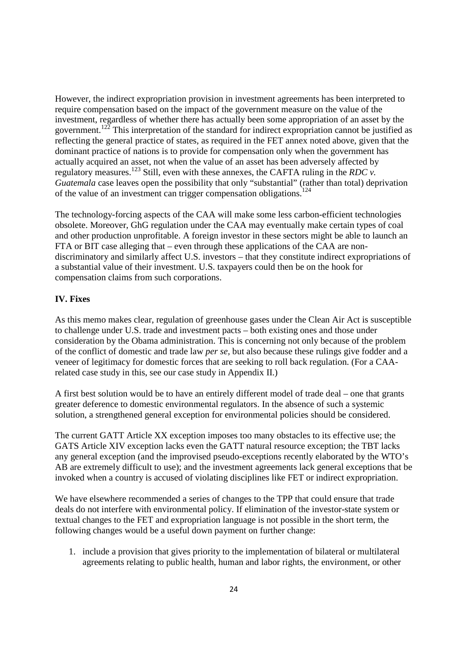However, the indirect expropriation provision in investment agreements has been interpreted to require compensation based on the impact of the government measure on the value of the investment, regardless of whether there has actually been some appropriation of an asset by the government.<sup>122</sup> This interpretation of the standard for indirect expropriation cannot be justified as reflecting the general practice of states, as required in the FET annex noted above, given that the dominant practice of nations is to provide for compensation only when the government has actually acquired an asset, not when the value of an asset has been adversely affected by regulatory measures.<sup>123</sup> Still, even with these annexes, the CAFTA ruling in the *RDC v. Guatemala* case leaves open the possibility that only "substantial" (rather than total) deprivation of the value of an investment can trigger compensation obligations.<sup>124</sup>

The technology-forcing aspects of the CAA will make some less carbon-efficient technologies obsolete. Moreover, GhG regulation under the CAA may eventually make certain types of coal and other production unprofitable. A foreign investor in these sectors might be able to launch an FTA or BIT case alleging that – even through these applications of the CAA are nondiscriminatory and similarly affect U.S. investors – that they constitute indirect expropriations of a substantial value of their investment. U.S. taxpayers could then be on the hook for compensation claims from such corporations.

# **IV. Fixes**

As this memo makes clear, regulation of greenhouse gases under the Clean Air Act is susceptible to challenge under U.S. trade and investment pacts – both existing ones and those under consideration by the Obama administration. This is concerning not only because of the problem of the conflict of domestic and trade law *per se,* but also because these rulings give fodder and a veneer of legitimacy for domestic forces that are seeking to roll back regulation. (For a CAArelated case study in this, see our case study in Appendix II.)

A first best solution would be to have an entirely different model of trade deal – one that grants greater deference to domestic environmental regulators. In the absence of such a systemic solution, a strengthened general exception for environmental policies should be considered.

The current GATT Article XX exception imposes too many obstacles to its effective use; the GATS Article XIV exception lacks even the GATT natural resource exception; the TBT lacks any general exception (and the improvised pseudo-exceptions recently elaborated by the WTO's AB are extremely difficult to use); and the investment agreements lack general exceptions that be invoked when a country is accused of violating disciplines like FET or indirect expropriation.

We have elsewhere recommended a series of changes to the TPP that could ensure that trade deals do not interfere with environmental policy. If elimination of the investor-state system or textual changes to the FET and expropriation language is not possible in the short term, the following changes would be a useful down payment on further change:

1. include a provision that gives priority to the implementation of bilateral or multilateral agreements relating to public health, human and labor rights, the environment, or other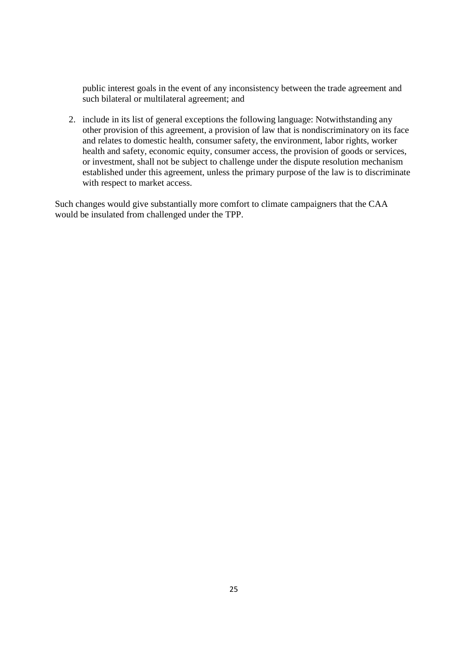public interest goals in the event of any inconsistency between the trade agreement and such bilateral or multilateral agreement; and

2. include in its list of general exceptions the following language: Notwithstanding any other provision of this agreement, a provision of law that is nondiscriminatory on its face and relates to domestic health, consumer safety, the environment, labor rights, worker health and safety, economic equity, consumer access, the provision of goods or services, or investment, shall not be subject to challenge under the dispute resolution mechanism established under this agreement, unless the primary purpose of the law is to discriminate with respect to market access.

Such changes would give substantially more comfort to climate campaigners that the CAA would be insulated from challenged under the TPP.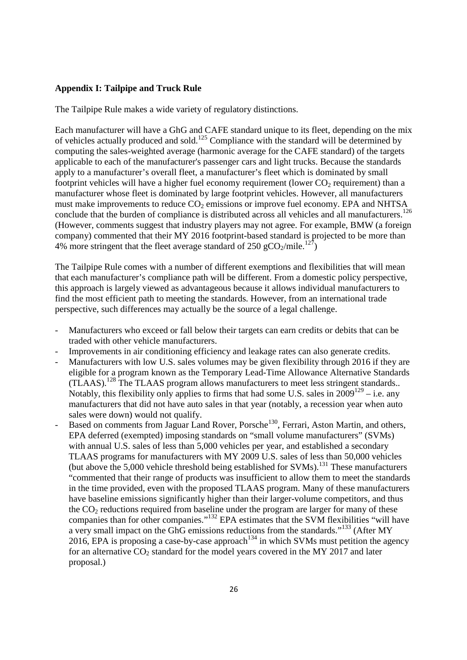### **Appendix I: Tailpipe and Truck Rule**

The Tailpipe Rule makes a wide variety of regulatory distinctions.

Each manufacturer will have a GhG and CAFE standard unique to its fleet, depending on the mix of vehicles actually produced and sold.<sup>125</sup> Compliance with the standard will be determined by computing the sales-weighted average (harmonic average for the CAFE standard) of the targets applicable to each of the manufacturer's passenger cars and light trucks. Because the standards apply to a manufacturer's overall fleet, a manufacturer's fleet which is dominated by small footprint vehicles will have a higher fuel economy requirement (lower  $CO<sub>2</sub>$  requirement) than a manufacturer whose fleet is dominated by large footprint vehicles. However, all manufacturers must make improvements to reduce  $CO<sub>2</sub>$  emissions or improve fuel economy. EPA and NHTSA conclude that the burden of compliance is distributed across all vehicles and all manufacturers.<sup>126</sup> (However, comments suggest that industry players may not agree. For example, BMW (a foreign company) commented that their MY 2016 footprint-based standard is projected to be more than 4% more stringent that the fleet average standard of 250 gCO<sub>2</sub>/mile.<sup>127</sup>)

The Tailpipe Rule comes with a number of different exemptions and flexibilities that will mean that each manufacturer's compliance path will be different. From a domestic policy perspective, this approach is largely viewed as advantageous because it allows individual manufacturers to find the most efficient path to meeting the standards. However, from an international trade perspective, such differences may actually be the source of a legal challenge.

- Manufacturers who exceed or fall below their targets can earn credits or debits that can be traded with other vehicle manufacturers.
- Improvements in air conditioning efficiency and leakage rates can also generate credits.
- Manufacturers with low U.S. sales volumes may be given flexibility through 2016 if they are eligible for a program known as the Temporary Lead-Time Allowance Alternative Standards (TLAAS).<sup>128</sup> The TLAAS program allows manufacturers to meet less stringent standards.. Notably, this flexibility only applies to firms that had some U.S. sales in  $2009^{129} - i.e.$  any manufacturers that did not have auto sales in that year (notably, a recession year when auto sales were down) would not qualify.
- Based on comments from Jaguar Land Rover, Porsche<sup>130</sup>, Ferrari, Aston Martin, and others, EPA deferred (exempted) imposing standards on "small volume manufacturers" (SVMs) with annual U.S. sales of less than 5,000 vehicles per year, and established a secondary TLAAS programs for manufacturers with MY 2009 U.S. sales of less than 50,000 vehicles (but above the 5,000 vehicle threshold being established for SVMs).<sup>131</sup> These manufacturers "commented that their range of products was insufficient to allow them to meet the standards in the time provided, even with the proposed TLAAS program. Many of these manufacturers have baseline emissions significantly higher than their larger-volume competitors, and thus the  $CO<sub>2</sub>$  reductions required from baseline under the program are larger for many of these companies than for other companies."<sup>132</sup> EPA estimates that the SVM flexibilities "will have a very small impact on the GhG emissions reductions from the standards."<sup>133</sup> (After MY  $2016$ , EPA is proposing a case-by-case approach<sup>134</sup> in which SVMs must petition the agency for an alternative  $CO<sub>2</sub>$  standard for the model years covered in the MY 2017 and later proposal.)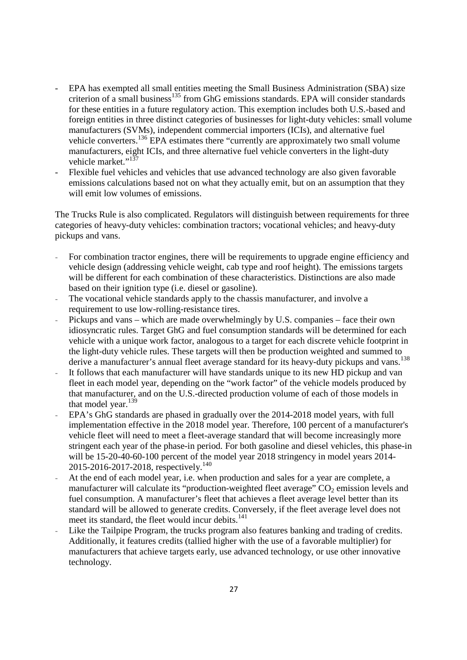- EPA has exempted all small entities meeting the Small Business Administration (SBA) size criterion of a small business<sup>135</sup> from GhG emissions standards. EPA will consider standards for these entities in a future regulatory action. This exemption includes both U.S.-based and foreign entities in three distinct categories of businesses for light-duty vehicles: small volume manufacturers (SVMs), independent commercial importers (ICIs), and alternative fuel vehicle converters.<sup>136</sup> EPA estimates there "currently are approximately two small volume manufacturers, eight ICIs, and three alternative fuel vehicle converters in the light-duty vehicle market."<sup>137</sup>
- Flexible fuel vehicles and vehicles that use advanced technology are also given favorable emissions calculations based not on what they actually emit, but on an assumption that they will emit low volumes of emissions.

The Trucks Rule is also complicated. Regulators will distinguish between requirements for three categories of heavy-duty vehicles: combination tractors; vocational vehicles; and heavy-duty pickups and vans.

- For combination tractor engines, there will be requirements to upgrade engine efficiency and vehicle design (addressing vehicle weight, cab type and roof height). The emissions targets will be different for each combination of these characteristics. Distinctions are also made based on their ignition type (i.e. diesel or gasoline).
- The vocational vehicle standards apply to the chassis manufacturer, and involve a requirement to use low-rolling-resistance tires.
- Pickups and vans which are made overwhelmingly by U.S. companies face their own idiosyncratic rules. Target GhG and fuel consumption standards will be determined for each vehicle with a unique work factor, analogous to a target for each discrete vehicle footprint in the light-duty vehicle rules. These targets will then be production weighted and summed to derive a manufacturer's annual fleet average standard for its heavy-duty pickups and vans.<sup>138</sup>
- It follows that each manufacturer will have standards unique to its new HD pickup and van fleet in each model year, depending on the "work factor" of the vehicle models produced by that manufacturer, and on the U.S.-directed production volume of each of those models in that model year. $139$
- EPA's GhG standards are phased in gradually over the 2014-2018 model years, with full implementation effective in the 2018 model year. Therefore, 100 percent of a manufacturer's vehicle fleet will need to meet a fleet-average standard that will become increasingly more stringent each year of the phase-in period. For both gasoline and diesel vehicles, this phase-in will be 15-20-40-60-100 percent of the model year 2018 stringency in model years 2014- 2015-2016-2017-2018, respectively.<sup>140</sup>
- At the end of each model year, i.e. when production and sales for a year are complete, a manufacturer will calculate its "production-weighted fleet average"  $CO<sub>2</sub>$  emission levels and fuel consumption. A manufacturer's fleet that achieves a fleet average level better than its standard will be allowed to generate credits. Conversely, if the fleet average level does not meet its standard, the fleet would incur debits.<sup>141</sup>
- Like the Tailpipe Program, the trucks program also features banking and trading of credits. Additionally, it features credits (tallied higher with the use of a favorable multiplier) for manufacturers that achieve targets early, use advanced technology, or use other innovative technology.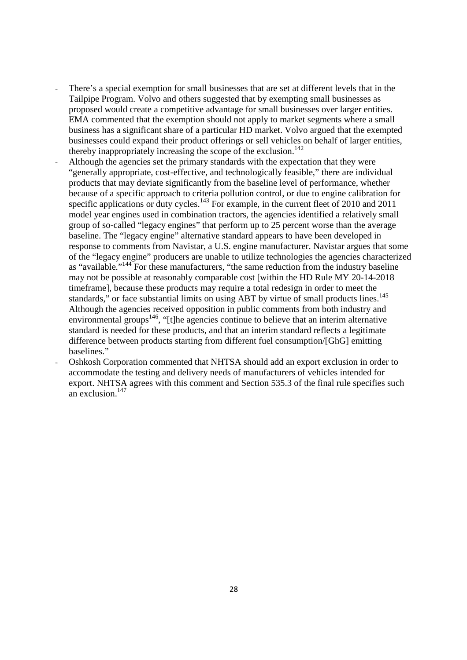- There's a special exemption for small businesses that are set at different levels that in the Tailpipe Program. Volvo and others suggested that by exempting small businesses as proposed would create a competitive advantage for small businesses over larger entities. EMA commented that the exemption should not apply to market segments where a small business has a significant share of a particular HD market. Volvo argued that the exempted businesses could expand their product offerings or sell vehicles on behalf of larger entities, thereby inappropriately increasing the scope of the exclusion.<sup>142</sup>
- Although the agencies set the primary standards with the expectation that they were "generally appropriate, cost-effective, and technologically feasible," there are individual products that may deviate significantly from the baseline level of performance, whether because of a specific approach to criteria pollution control, or due to engine calibration for specific applications or duty cycles.<sup>143</sup> For example, in the current fleet of 2010 and 2011 model year engines used in combination tractors, the agencies identified a relatively small group of so-called "legacy engines" that perform up to 25 percent worse than the average baseline. The "legacy engine" alternative standard appears to have been developed in response to comments from Navistar, a U.S. engine manufacturer. Navistar argues that some of the "legacy engine" producers are unable to utilize technologies the agencies characterized as "available."<sup>144</sup> For these manufacturers, "the same reduction from the industry baseline may not be possible at reasonably comparable cost [within the HD Rule MY 20-14-2018 timeframe], because these products may require a total redesign in order to meet the standards," or face substantial limits on using ABT by virtue of small products lines.<sup>145</sup> Although the agencies received opposition in public comments from both industry and environmental groups<sup>146</sup>, "[t]he agencies continue to believe that an interim alternative standard is needed for these products, and that an interim standard reflects a legitimate difference between products starting from different fuel consumption/[GhG] emitting baselines."
- Oshkosh Corporation commented that NHTSA should add an export exclusion in order to accommodate the testing and delivery needs of manufacturers of vehicles intended for export. NHTSA agrees with this comment and Section 535.3 of the final rule specifies such an exclusion.<sup>147</sup>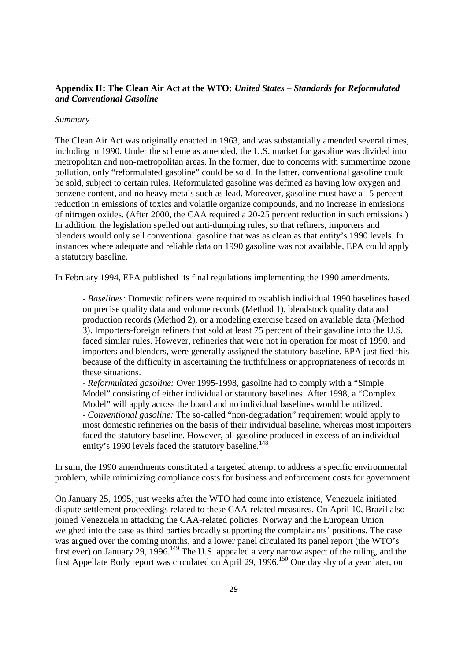## **Appendix II: The Clean Air Act at the WTO:** *United States – Standards for Reformulated and Conventional Gasoline*

#### *Summary*

The Clean Air Act was originally enacted in 1963, and was substantially amended several times, including in 1990. Under the scheme as amended, the U.S. market for gasoline was divided into metropolitan and non-metropolitan areas. In the former, due to concerns with summertime ozone pollution, only "reformulated gasoline" could be sold. In the latter, conventional gasoline could be sold, subject to certain rules. Reformulated gasoline was defined as having low oxygen and benzene content, and no heavy metals such as lead. Moreover, gasoline must have a 15 percent reduction in emissions of toxics and volatile organize compounds, and no increase in emissions of nitrogen oxides. (After 2000, the CAA required a 20-25 percent reduction in such emissions.) In addition, the legislation spelled out anti-dumping rules, so that refiners, importers and blenders would only sell conventional gasoline that was as clean as that entity's 1990 levels. In instances where adequate and reliable data on 1990 gasoline was not available, EPA could apply a statutory baseline.

In February 1994, EPA published its final regulations implementing the 1990 amendments.

- *Baselines:* Domestic refiners were required to establish individual 1990 baselines based on precise quality data and volume records (Method 1), blendstock quality data and production records (Method 2), or a modeling exercise based on available data (Method 3). Importers-foreign refiners that sold at least 75 percent of their gasoline into the U.S. faced similar rules. However, refineries that were not in operation for most of 1990, and importers and blenders, were generally assigned the statutory baseline. EPA justified this because of the difficulty in ascertaining the truthfulness or appropriateness of records in these situations.

- *Reformulated gasoline:* Over 1995-1998, gasoline had to comply with a "Simple Model" consisting of either individual or statutory baselines. After 1998, a "Complex Model" will apply across the board and no individual baselines would be utilized. - *Conventional gasoline:* The so-called "non-degradation" requirement would apply to most domestic refineries on the basis of their individual baseline, whereas most importers faced the statutory baseline. However, all gasoline produced in excess of an individual entity's 1990 levels faced the statutory baseline.<sup>148</sup>

In sum, the 1990 amendments constituted a targeted attempt to address a specific environmental problem, while minimizing compliance costs for business and enforcement costs for government.

On January 25, 1995, just weeks after the WTO had come into existence, Venezuela initiated dispute settlement proceedings related to these CAA-related measures. On April 10, Brazil also joined Venezuela in attacking the CAA-related policies. Norway and the European Union weighed into the case as third parties broadly supporting the complainants' positions. The case was argued over the coming months, and a lower panel circulated its panel report (the WTO's first ever) on January 29, 1996.<sup>149</sup> The U.S. appealed a very narrow aspect of the ruling, and the first Appellate Body report was circulated on April 29, 1996.<sup>150</sup> One day shy of a year later, on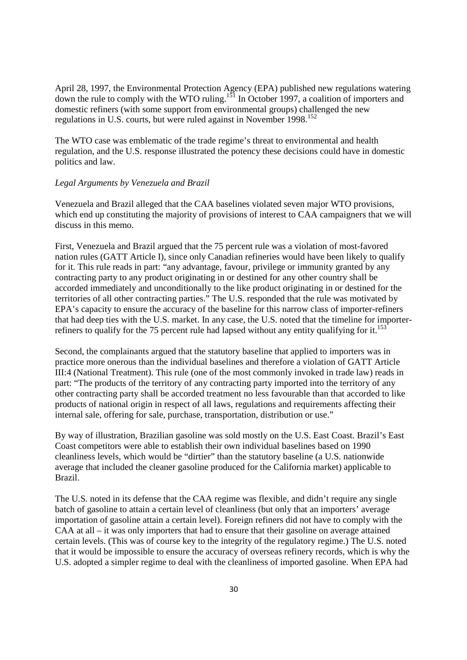April 28, 1997, the Environmental Protection Agency (EPA) published new regulations watering down the rule to comply with the WTO ruling.<sup>151</sup> In October 1997, a coalition of importers and domestic refiners (with some support from environmental groups) challenged the new regulations in U.S. courts, but were ruled against in November 1998.<sup>152</sup>

The WTO case was emblematic of the trade regime's threat to environmental and health regulation, and the U.S. response illustrated the potency these decisions could have in domestic politics and law.

#### *Legal Arguments by Venezuela and Brazil*

Venezuela and Brazil alleged that the CAA baselines violated seven major WTO provisions, which end up constituting the majority of provisions of interest to CAA campaigners that we will discuss in this memo.

First, Venezuela and Brazil argued that the 75 percent rule was a violation of most-favored nation rules (GATT Article I), since only Canadian refineries would have been likely to qualify for it. This rule reads in part: "any advantage, favour, privilege or immunity granted by any contracting party to any product originating in or destined for any other country shall be accorded immediately and unconditionally to the like product originating in or destined for the territories of all other contracting parties." The U.S. responded that the rule was motivated by EPA's capacity to ensure the accuracy of the baseline for this narrow class of importer-refiners that had deep ties with the U.S. market. In any case, the U.S. noted that the timeline for importerrefiners to qualify for the 75 percent rule had lapsed without any entity qualifying for it.<sup>153</sup>

Second, the complainants argued that the statutory baseline that applied to importers was in practice more onerous than the individual baselines and therefore a violation of GATT Article III:4 (National Treatment). This rule (one of the most commonly invoked in trade law) reads in part: "The products of the territory of any contracting party imported into the territory of any other contracting party shall be accorded treatment no less favourable than that accorded to like products of national origin in respect of all laws, regulations and requirements affecting their internal sale, offering for sale, purchase, transportation, distribution or use."

By way of illustration, Brazilian gasoline was sold mostly on the U.S. East Coast. Brazil's East Coast competitors were able to establish their own individual baselines based on 1990 cleanliness levels, which would be "dirtier" than the statutory baseline (a U.S. nationwide average that included the cleaner gasoline produced for the California market) applicable to Brazil.

The U.S. noted in its defense that the CAA regime was flexible, and didn't require any single batch of gasoline to attain a certain level of cleanliness (but only that an importers' average importation of gasoline attain a certain level). Foreign refiners did not have to comply with the CAA at all – it was only importers that had to ensure that their gasoline on average attained certain levels. (This was of course key to the integrity of the regulatory regime.) The U.S. noted that it would be impossible to ensure the accuracy of overseas refinery records, which is why the U.S. adopted a simpler regime to deal with the cleanliness of imported gasoline. When EPA had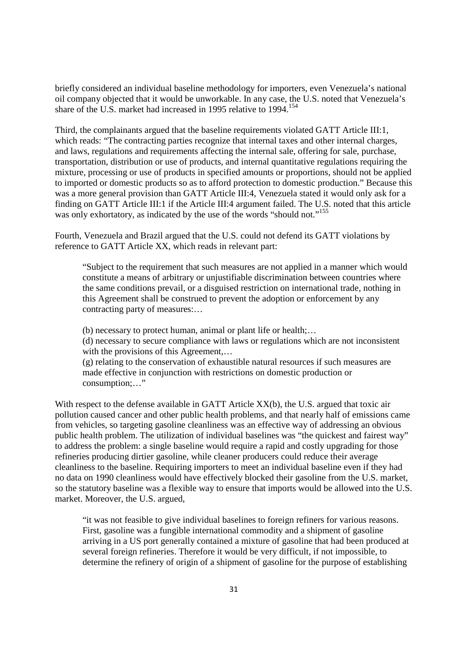briefly considered an individual baseline methodology for importers, even Venezuela's national oil company objected that it would be unworkable. In any case, the U.S. noted that Venezuela's share of the U.S. market had increased in 1995 relative to 1994.<sup>154</sup>

Third, the complainants argued that the baseline requirements violated GATT Article III:1, which reads: "The contracting parties recognize that internal taxes and other internal charges, and laws, regulations and requirements affecting the internal sale, offering for sale, purchase, transportation, distribution or use of products, and internal quantitative regulations requiring the mixture, processing or use of products in specified amounts or proportions, should not be applied to imported or domestic products so as to afford protection to domestic production." Because this was a more general provision than GATT Article III:4, Venezuela stated it would only ask for a finding on GATT Article III:1 if the Article III:4 argument failed. The U.S. noted that this article was only exhortatory, as indicated by the use of the words "should not."<sup>155</sup>

Fourth, Venezuela and Brazil argued that the U.S. could not defend its GATT violations by reference to GATT Article XX, which reads in relevant part:

"Subject to the requirement that such measures are not applied in a manner which would constitute a means of arbitrary or unjustifiable discrimination between countries where the same conditions prevail, or a disguised restriction on international trade, nothing in this Agreement shall be construed to prevent the adoption or enforcement by any contracting party of measures:…

(b) necessary to protect human, animal or plant life or health;…

(d) necessary to secure compliance with laws or regulations which are not inconsistent with the provisions of this Agreement....

(g) relating to the conservation of exhaustible natural resources if such measures are made effective in conjunction with restrictions on domestic production or consumption;..."

With respect to the defense available in GATT Article XX(b), the U.S. argued that toxic air pollution caused cancer and other public health problems, and that nearly half of emissions came from vehicles, so targeting gasoline cleanliness was an effective way of addressing an obvious public health problem. The utilization of individual baselines was "the quickest and fairest way" to address the problem: a single baseline would require a rapid and costly upgrading for those refineries producing dirtier gasoline, while cleaner producers could reduce their average cleanliness to the baseline. Requiring importers to meet an individual baseline even if they had no data on 1990 cleanliness would have effectively blocked their gasoline from the U.S. market, so the statutory baseline was a flexible way to ensure that imports would be allowed into the U.S. market. Moreover, the U.S. argued,

"it was not feasible to give individual baselines to foreign refiners for various reasons. First, gasoline was a fungible international commodity and a shipment of gasoline arriving in a US port generally contained a mixture of gasoline that had been produced at several foreign refineries. Therefore it would be very difficult, if not impossible, to determine the refinery of origin of a shipment of gasoline for the purpose of establishing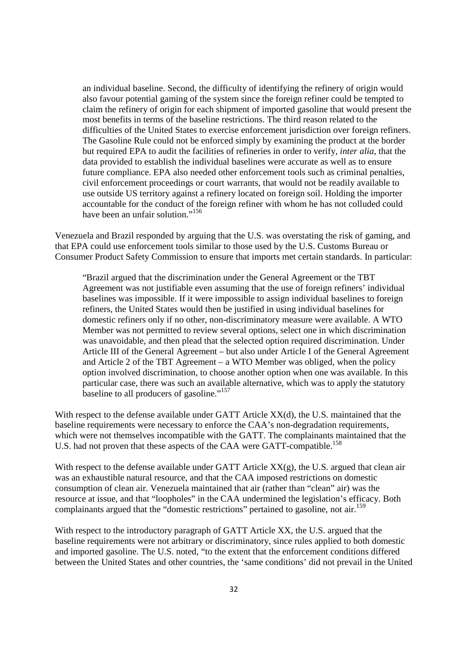an individual baseline. Second, the difficulty of identifying the refinery of origin would also favour potential gaming of the system since the foreign refiner could be tempted to claim the refinery of origin for each shipment of imported gasoline that would present the most benefits in terms of the baseline restrictions. The third reason related to the difficulties of the United States to exercise enforcement jurisdiction over foreign refiners. The Gasoline Rule could not be enforced simply by examining the product at the border but required EPA to audit the facilities of refineries in order to verify, *inter alia*, that the data provided to establish the individual baselines were accurate as well as to ensure future compliance. EPA also needed other enforcement tools such as criminal penalties, civil enforcement proceedings or court warrants, that would not be readily available to use outside US territory against a refinery located on foreign soil. Holding the importer accountable for the conduct of the foreign refiner with whom he has not colluded could have been an unfair solution."<sup>156</sup>

Venezuela and Brazil responded by arguing that the U.S. was overstating the risk of gaming, and that EPA could use enforcement tools similar to those used by the U.S. Customs Bureau or Consumer Product Safety Commission to ensure that imports met certain standards. In particular:

"Brazil argued that the discrimination under the General Agreement or the TBT Agreement was not justifiable even assuming that the use of foreign refiners' individual baselines was impossible. If it were impossible to assign individual baselines to foreign refiners, the United States would then be justified in using individual baselines for domestic refiners only if no other, non-discriminatory measure were available. A WTO Member was not permitted to review several options, select one in which discrimination was unavoidable, and then plead that the selected option required discrimination. Under Article III of the General Agreement – but also under Article I of the General Agreement and Article 2 of the TBT Agreement – a WTO Member was obliged, when the policy option involved discrimination, to choose another option when one was available. In this particular case, there was such an available alternative, which was to apply the statutory baseline to all producers of gasoline."<sup>157</sup>

With respect to the defense available under GATT Article XX(d), the U.S. maintained that the baseline requirements were necessary to enforce the CAA's non-degradation requirements, which were not themselves incompatible with the GATT. The complainants maintained that the U.S. had not proven that these aspects of the CAA were GATT-compatible.<sup>158</sup>

With respect to the defense available under GATT Article XX(g), the U.S. argued that clean air was an exhaustible natural resource, and that the CAA imposed restrictions on domestic consumption of clean air. Venezuela maintained that air (rather than "clean" air) was the resource at issue, and that "loopholes" in the CAA undermined the legislation's efficacy. Both complainants argued that the "domestic restrictions" pertained to gasoline, not air.<sup>159</sup>

With respect to the introductory paragraph of GATT Article XX, the U.S. argued that the baseline requirements were not arbitrary or discriminatory, since rules applied to both domestic and imported gasoline. The U.S. noted, "to the extent that the enforcement conditions differed between the United States and other countries, the 'same conditions' did not prevail in the United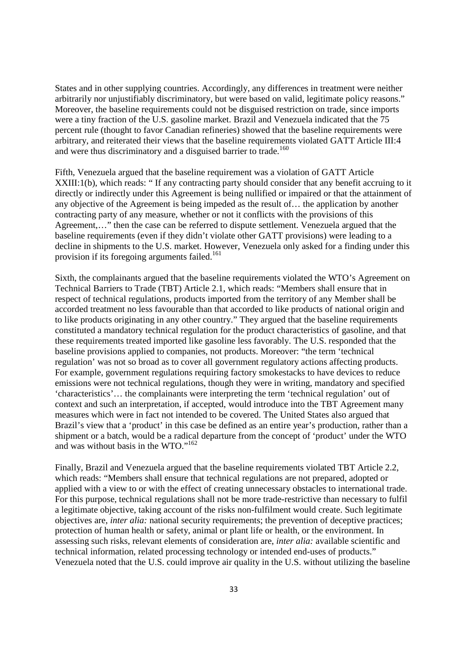States and in other supplying countries. Accordingly, any differences in treatment were neither arbitrarily nor unjustifiably discriminatory, but were based on valid, legitimate policy reasons." Moreover, the baseline requirements could not be disguised restriction on trade, since imports were a tiny fraction of the U.S. gasoline market. Brazil and Venezuela indicated that the 75 percent rule (thought to favor Canadian refineries) showed that the baseline requirements were arbitrary, and reiterated their views that the baseline requirements violated GATT Article III:4 and were thus discriminatory and a disguised barrier to trade.<sup>160</sup>

Fifth, Venezuela argued that the baseline requirement was a violation of GATT Article XXIII:1(b), which reads: " If any contracting party should consider that any benefit accruing to it directly or indirectly under this Agreement is being nullified or impaired or that the attainment of any objective of the Agreement is being impeded as the result of… the application by another contracting party of any measure, whether or not it conflicts with the provisions of this Agreement,…" then the case can be referred to dispute settlement. Venezuela argued that the baseline requirements (even if they didn't violate other GATT provisions) were leading to a decline in shipments to the U.S. market. However, Venezuela only asked for a finding under this provision if its foregoing arguments failed.<sup>161</sup>

Sixth, the complainants argued that the baseline requirements violated the WTO's Agreement on Technical Barriers to Trade (TBT) Article 2.1, which reads: "Members shall ensure that in respect of technical regulations, products imported from the territory of any Member shall be accorded treatment no less favourable than that accorded to like products of national origin and to like products originating in any other country." They argued that the baseline requirements constituted a mandatory technical regulation for the product characteristics of gasoline, and that these requirements treated imported like gasoline less favorably. The U.S. responded that the baseline provisions applied to companies, not products. Moreover: "the term 'technical regulation' was not so broad as to cover all government regulatory actions affecting products. For example, government regulations requiring factory smokestacks to have devices to reduce emissions were not technical regulations, though they were in writing, mandatory and specified 'characteristics'… the complainants were interpreting the term 'technical regulation' out of context and such an interpretation, if accepted, would introduce into the TBT Agreement many measures which were in fact not intended to be covered. The United States also argued that Brazil's view that a 'product' in this case be defined as an entire year's production, rather than a shipment or a batch, would be a radical departure from the concept of 'product' under the WTO and was without basis in the WTO."<sup>162</sup>

Finally, Brazil and Venezuela argued that the baseline requirements violated TBT Article 2.2, which reads: "Members shall ensure that technical regulations are not prepared, adopted or applied with a view to or with the effect of creating unnecessary obstacles to international trade. For this purpose, technical regulations shall not be more trade-restrictive than necessary to fulfil a legitimate objective, taking account of the risks non-fulfilment would create. Such legitimate objectives are, *inter alia:* national security requirements; the prevention of deceptive practices; protection of human health or safety, animal or plant life or health, or the environment. In assessing such risks, relevant elements of consideration are, *inter alia:* available scientific and technical information, related processing technology or intended end-uses of products." Venezuela noted that the U.S. could improve air quality in the U.S. without utilizing the baseline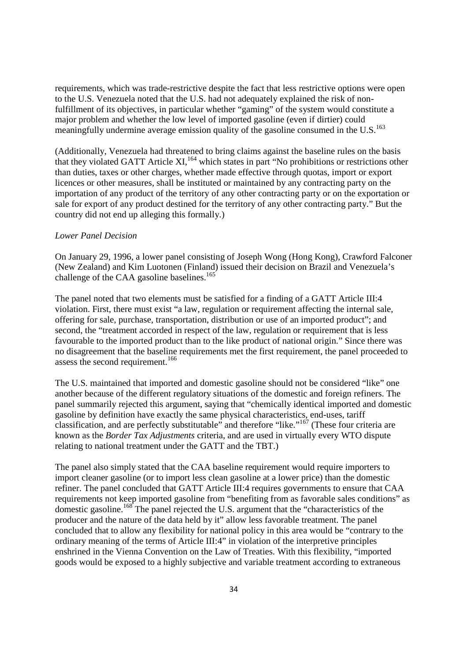requirements, which was trade-restrictive despite the fact that less restrictive options were open to the U.S. Venezuela noted that the U.S. had not adequately explained the risk of nonfulfillment of its objectives, in particular whether "gaming" of the system would constitute a major problem and whether the low level of imported gasoline (even if dirtier) could meaningfully undermine average emission quality of the gasoline consumed in the U.S.<sup>163</sup>

(Additionally, Venezuela had threatened to bring claims against the baseline rules on the basis that they violated GATT Article XI,<sup>164</sup> which states in part "No prohibitions or restrictions other than duties, taxes or other charges, whether made effective through quotas, import or export licences or other measures, shall be instituted or maintained by any contracting party on the importation of any product of the territory of any other contracting party or on the exportation or sale for export of any product destined for the territory of any other contracting party." But the country did not end up alleging this formally.)

## *Lower Panel Decision*

On January 29, 1996, a lower panel consisting of Joseph Wong (Hong Kong), Crawford Falconer (New Zealand) and Kim Luotonen (Finland) issued their decision on Brazil and Venezuela's challenge of the CAA gasoline baselines.<sup>165</sup>

The panel noted that two elements must be satisfied for a finding of a GATT Article III:4 violation. First, there must exist "a law, regulation or requirement affecting the internal sale, offering for sale, purchase, transportation, distribution or use of an imported product"; and second, the "treatment accorded in respect of the law, regulation or requirement that is less favourable to the imported product than to the like product of national origin." Since there was no disagreement that the baseline requirements met the first requirement, the panel proceeded to assess the second requirement.<sup>166</sup>

The U.S. maintained that imported and domestic gasoline should not be considered "like" one another because of the different regulatory situations of the domestic and foreign refiners. The panel summarily rejected this argument, saying that "chemically identical imported and domestic gasoline by definition have exactly the same physical characteristics, end-uses, tariff classification, and are perfectly substitutable" and therefore "like."<sup>167</sup> (These four criteria are known as the *Border Tax Adjustments* criteria, and are used in virtually every WTO dispute relating to national treatment under the GATT and the TBT.)

The panel also simply stated that the CAA baseline requirement would require importers to import cleaner gasoline (or to import less clean gasoline at a lower price) than the domestic refiner. The panel concluded that GATT Article III:4 requires governments to ensure that CAA requirements not keep imported gasoline from "benefiting from as favorable sales conditions" as domestic gasoline.<sup>168</sup> The panel rejected the U.S. argument that the "characteristics of the producer and the nature of the data held by it" allow less favorable treatment. The panel concluded that to allow any flexibility for national policy in this area would be "contrary to the ordinary meaning of the terms of Article III:4" in violation of the interpretive principles enshrined in the Vienna Convention on the Law of Treaties. With this flexibility, "imported goods would be exposed to a highly subjective and variable treatment according to extraneous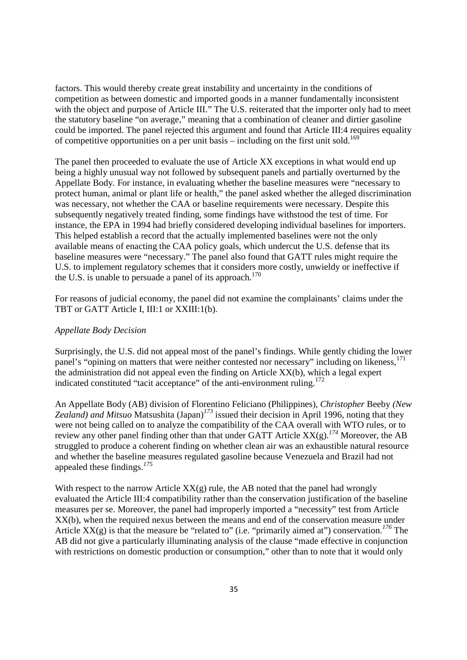factors. This would thereby create great instability and uncertainty in the conditions of competition as between domestic and imported goods in a manner fundamentally inconsistent with the object and purpose of Article III." The U.S. reiterated that the importer only had to meet the statutory baseline "on average," meaning that a combination of cleaner and dirtier gasoline could be imported. The panel rejected this argument and found that Article III:4 requires equality of competitive opportunities on a per unit basis – including on the first unit sold.<sup>169</sup>

The panel then proceeded to evaluate the use of Article XX exceptions in what would end up being a highly unusual way not followed by subsequent panels and partially overturned by the Appellate Body. For instance, in evaluating whether the baseline measures were "necessary to protect human, animal or plant life or health," the panel asked whether the alleged discrimination was necessary, not whether the CAA or baseline requirements were necessary. Despite this subsequently negatively treated finding, some findings have withstood the test of time. For instance, the EPA in 1994 had briefly considered developing individual baselines for importers. This helped establish a record that the actually implemented baselines were not the only available means of enacting the CAA policy goals, which undercut the U.S. defense that its baseline measures were "necessary." The panel also found that GATT rules might require the U.S. to implement regulatory schemes that it considers more costly, unwieldy or ineffective if the U.S. is unable to persuade a panel of its approach.<sup>170</sup>

For reasons of judicial economy, the panel did not examine the complainants' claims under the TBT or GATT Article I, III:1 or XXIII:1(b).

#### *Appellate Body Decision*

Surprisingly, the U.S. did not appeal most of the panel's findings. While gently chiding the lower panel's "opining on matters that were neither contested nor necessary" including on likeness,<sup>171</sup> the administration did not appeal even the finding on Article XX(b), which a legal expert indicated constituted "tacit acceptance" of the anti-environment ruling.<sup>172</sup>

An Appellate Body (AB) division of Florentino Feliciano (Philippines)*, Christopher* Beeby *(New Zealand) and Mitsuo* Matsushita (Japan)*<sup>173</sup>* issued their decision in April 1996, noting that they were not being called on to analyze the compatibility of the CAA overall with WTO rules, or to review any other panel finding other than that under GATT Article XX(g).*<sup>174</sup>* Moreover, the AB struggled to produce a coherent finding on whether clean air was an exhaustible natural resource and whether the baseline measures regulated gasoline because Venezuela and Brazil had not appealed these findings.*<sup>175</sup>*

With respect to the narrow Article  $XX(g)$  rule, the AB noted that the panel had wrongly evaluated the Article III:4 compatibility rather than the conservation justification of the baseline measures per se. Moreover, the panel had improperly imported a "necessity" test from Article XX(b), when the required nexus between the means and end of the conservation measure under Article XX(g) is that the measure be "related to" (i.e. "primarily aimed at") conservation.*<sup>176</sup>* The AB did not give a particularly illuminating analysis of the clause "made effective in conjunction with restrictions on domestic production or consumption," other than to note that it would only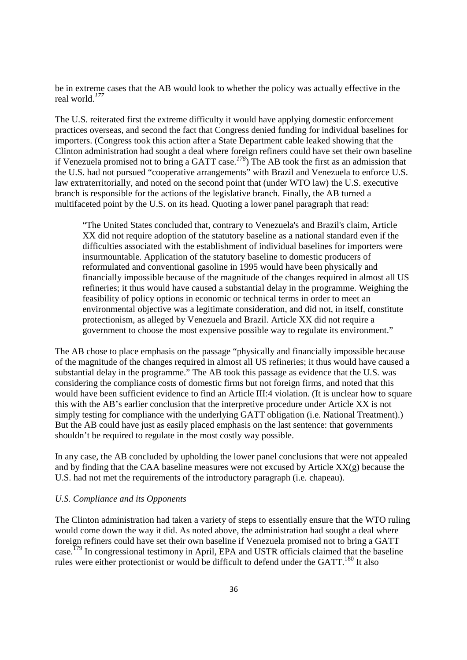be in extreme cases that the AB would look to whether the policy was actually effective in the real world.*<sup>177</sup>*

The U.S. reiterated first the extreme difficulty it would have applying domestic enforcement practices overseas, and second the fact that Congress denied funding for individual baselines for importers. (Congress took this action after a State Department cable leaked showing that the Clinton administration had sought a deal where foreign refiners could have set their own baseline if Venezuela promised not to bring a GATT case.*<sup>178</sup>*) The AB took the first as an admission that the U.S. had not pursued "cooperative arrangements" with Brazil and Venezuela to enforce U.S. law extraterritorially, and noted on the second point that (under WTO law) the U.S. executive branch is responsible for the actions of the legislative branch. Finally, the AB turned a multifaceted point by the U.S. on its head. Quoting a lower panel paragraph that read:

"The United States concluded that, contrary to Venezuela's and Brazil's claim, Article XX did not require adoption of the statutory baseline as a national standard even if the difficulties associated with the establishment of individual baselines for importers were insurmountable. Application of the statutory baseline to domestic producers of reformulated and conventional gasoline in 1995 would have been physically and financially impossible because of the magnitude of the changes required in almost all US refineries; it thus would have caused a substantial delay in the programme. Weighing the feasibility of policy options in economic or technical terms in order to meet an environmental objective was a legitimate consideration, and did not, in itself, constitute protectionism, as alleged by Venezuela and Brazil. Article XX did not require a government to choose the most expensive possible way to regulate its environment."

The AB chose to place emphasis on the passage "physically and financially impossible because of the magnitude of the changes required in almost all US refineries; it thus would have caused a substantial delay in the programme." The AB took this passage as evidence that the U.S. was considering the compliance costs of domestic firms but not foreign firms, and noted that this would have been sufficient evidence to find an Article III:4 violation. (It is unclear how to square this with the AB's earlier conclusion that the interpretive procedure under Article XX is not simply testing for compliance with the underlying GATT obligation (i.e. National Treatment).) But the AB could have just as easily placed emphasis on the last sentence: that governments shouldn't be required to regulate in the most costly way possible.

In any case, the AB concluded by upholding the lower panel conclusions that were not appealed and by finding that the CAA baseline measures were not excused by Article XX(g) because the U.S. had not met the requirements of the introductory paragraph (i.e. chapeau).

#### *U.S. Compliance and its Opponents*

The Clinton administration had taken a variety of steps to essentially ensure that the WTO ruling would come down the way it did. As noted above, the administration had sought a deal where foreign refiners could have set their own baseline if Venezuela promised not to bring a GATT case.<sup>179</sup> In congressional testimony in April, EPA and USTR officials claimed that the baseline rules were either protectionist or would be difficult to defend under the GATT.<sup>180</sup> It also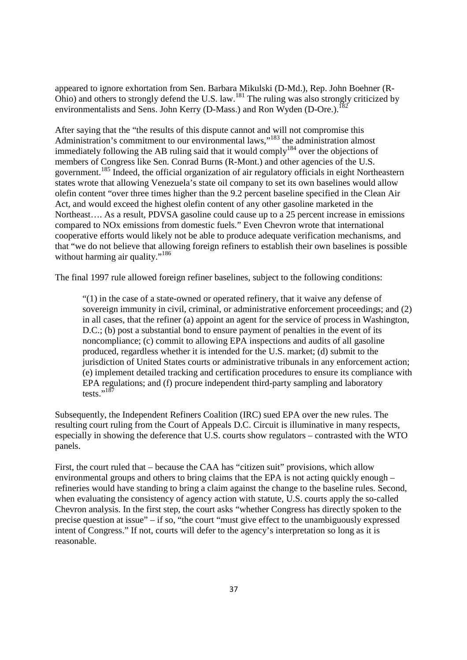appeared to ignore exhortation from Sen. Barbara Mikulski (D-Md.), Rep. John Boehner (R-Ohio) and others to strongly defend the U.S. law.<sup>181</sup> The ruling was also strongly criticized by environmentalists and Sens. John Kerry (D-Mass.) and Ron Wyden (D-Ore.).<sup>182</sup>

After saying that the "the results of this dispute cannot and will not compromise this Administration's commitment to our environmental laws,"<sup>183</sup> the administration almost immediately following the AB ruling said that it would comply<sup>184</sup> over the objections of members of Congress like Sen. Conrad Burns (R-Mont.) and other agencies of the U.S. government.<sup>185</sup> Indeed, the official organization of air regulatory officials in eight Northeastern states wrote that allowing Venezuela's state oil company to set its own baselines would allow olefin content "over three times higher than the 9.2 percent baseline specified in the Clean Air Act, and would exceed the highest olefin content of any other gasoline marketed in the Northeast…. As a result, PDVSA gasoline could cause up to a 25 percent increase in emissions compared to NOx emissions from domestic fuels." Even Chevron wrote that international cooperative efforts would likely not be able to produce adequate verification mechanisms, and that "we do not believe that allowing foreign refiners to establish their own baselines is possible without harming air quality."<sup>186</sup>

The final 1997 rule allowed foreign refiner baselines, subject to the following conditions:

"(1) in the case of a state-owned or operated refinery, that it waive any defense of sovereign immunity in civil, criminal, or administrative enforcement proceedings; and (2) in all cases, that the refiner (a) appoint an agent for the service of process in Washington, D.C.; (b) post a substantial bond to ensure payment of penalties in the event of its noncompliance; (c) commit to allowing EPA inspections and audits of all gasoline produced, regardless whether it is intended for the U.S. market; (d) submit to the jurisdiction of United States courts or administrative tribunals in any enforcement action; (e) implement detailed tracking and certification procedures to ensure its compliance with EPA regulations; and (f) procure independent third-party sampling and laboratory tests." $187$ 

Subsequently, the Independent Refiners Coalition (IRC) sued EPA over the new rules. The resulting court ruling from the Court of Appeals D.C. Circuit is illuminative in many respects, especially in showing the deference that U.S. courts show regulators – contrasted with the WTO panels.

First, the court ruled that – because the CAA has "citizen suit" provisions, which allow environmental groups and others to bring claims that the EPA is not acting quickly enough – refineries would have standing to bring a claim against the change to the baseline rules. Second, when evaluating the consistency of agency action with statute, U.S. courts apply the so-called Chevron analysis. In the first step, the court asks "whether Congress has directly spoken to the precise question at issue" – if so, "the court "must give effect to the unambiguously expressed intent of Congress." If not, courts will defer to the agency's interpretation so long as it is reasonable.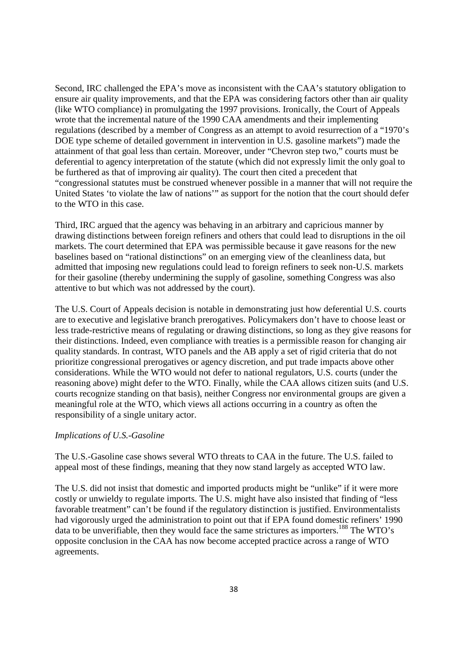Second, IRC challenged the EPA's move as inconsistent with the CAA's statutory obligation to ensure air quality improvements, and that the EPA was considering factors other than air quality (like WTO compliance) in promulgating the 1997 provisions. Ironically, the Court of Appeals wrote that the incremental nature of the 1990 CAA amendments and their implementing regulations (described by a member of Congress as an attempt to avoid resurrection of a "1970's DOE type scheme of detailed government in intervention in U.S. gasoline markets") made the attainment of that goal less than certain. Moreover, under "Chevron step two," courts must be deferential to agency interpretation of the statute (which did not expressly limit the only goal to be furthered as that of improving air quality). The court then cited a precedent that "congressional statutes must be construed whenever possible in a manner that will not require the United States 'to violate the law of nations'" as support for the notion that the court should defer to the WTO in this case.

Third, IRC argued that the agency was behaving in an arbitrary and capricious manner by drawing distinctions between foreign refiners and others that could lead to disruptions in the oil markets. The court determined that EPA was permissible because it gave reasons for the new baselines based on "rational distinctions" on an emerging view of the cleanliness data, but admitted that imposing new regulations could lead to foreign refiners to seek non-U.S. markets for their gasoline (thereby undermining the supply of gasoline, something Congress was also attentive to but which was not addressed by the court).

The U.S. Court of Appeals decision is notable in demonstrating just how deferential U.S. courts are to executive and legislative branch prerogatives. Policymakers don't have to choose least or less trade-restrictive means of regulating or drawing distinctions, so long as they give reasons for their distinctions. Indeed, even compliance with treaties is a permissible reason for changing air quality standards. In contrast, WTO panels and the AB apply a set of rigid criteria that do not prioritize congressional prerogatives or agency discretion, and put trade impacts above other considerations. While the WTO would not defer to national regulators, U.S. courts (under the reasoning above) might defer to the WTO. Finally, while the CAA allows citizen suits (and U.S. courts recognize standing on that basis), neither Congress nor environmental groups are given a meaningful role at the WTO, which views all actions occurring in a country as often the responsibility of a single unitary actor.

#### *Implications of U.S.-Gasoline*

The U.S.-Gasoline case shows several WTO threats to CAA in the future. The U.S. failed to appeal most of these findings, meaning that they now stand largely as accepted WTO law.

The U.S. did not insist that domestic and imported products might be "unlike" if it were more costly or unwieldy to regulate imports. The U.S. might have also insisted that finding of "less favorable treatment" can't be found if the regulatory distinction is justified. Environmentalists had vigorously urged the administration to point out that if EPA found domestic refiners' 1990 data to be unverifiable, then they would face the same strictures as importers.<sup>188</sup> The WTO's opposite conclusion in the CAA has now become accepted practice across a range of WTO agreements.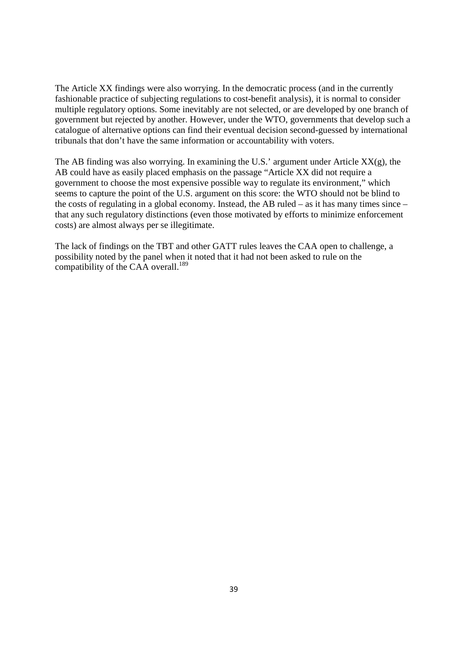The Article XX findings were also worrying. In the democratic process (and in the currently fashionable practice of subjecting regulations to cost-benefit analysis), it is normal to consider multiple regulatory options. Some inevitably are not selected, or are developed by one branch of government but rejected by another. However, under the WTO, governments that develop such a catalogue of alternative options can find their eventual decision second-guessed by international tribunals that don't have the same information or accountability with voters.

The AB finding was also worrying. In examining the U.S.' argument under Article  $XX(g)$ , the AB could have as easily placed emphasis on the passage "Article XX did not require a government to choose the most expensive possible way to regulate its environment," which seems to capture the point of the U.S. argument on this score: the WTO should not be blind to the costs of regulating in a global economy. Instead, the AB ruled – as it has many times since – that any such regulatory distinctions (even those motivated by efforts to minimize enforcement costs) are almost always per se illegitimate.

The lack of findings on the TBT and other GATT rules leaves the CAA open to challenge, a possibility noted by the panel when it noted that it had not been asked to rule on the compatibility of the CAA overall.<sup>189</sup>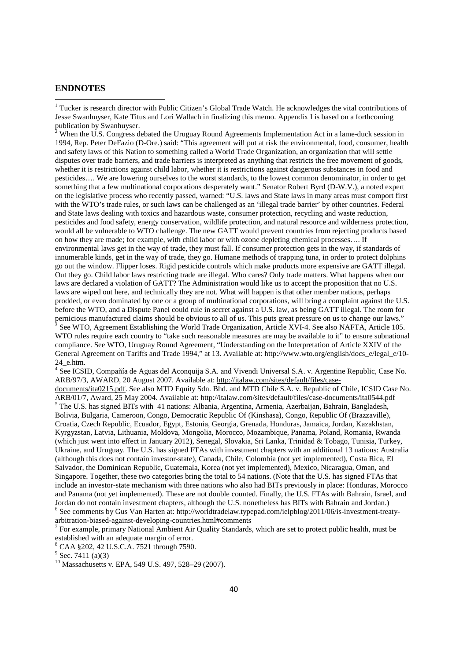### **ENDNOTES**

<u>.</u>

<sup>1</sup> Tucker is research director with Public Citizen's Global Trade Watch. He acknowledges the vital contributions of Jesse Swanhuyser, Kate Titus and Lori Wallach in finalizing this memo. Appendix I is based on a forthcoming

publication by Swanhuyser.<br><sup>2</sup> When the U.S. Congress debated the Uruguay Round Agreements Implementation Act in a lame-duck session in 1994, Rep. Peter DeFazio (D-Ore.) said: "This agreement will put at risk the environmental, food, consumer, health and safety laws of this Nation to something called a World Trade Organization, an organization that will settle disputes over trade barriers, and trade barriers is interpreted as anything that restricts the free movement of goods, whether it is restrictions against child labor, whether it is restrictions against dangerous substances in food and pesticides…. We are lowering ourselves to the worst standards, to the lowest common denominator, in order to get something that a few multinational corporations desperately want." Senator Robert Byrd (D-W.V.), a noted expert on the legislative process who recently passed, warned: "U.S. laws and State laws in many areas must comport first with the WTO's trade rules, or such laws can be challenged as an 'illegal trade barrier' by other countries. Federal and State laws dealing with toxics and hazardous waste, consumer protection, recycling and waste reduction, pesticides and food safety, energy conservation, wildlife protection, and natural resource and wilderness protection, would all be vulnerable to WTO challenge. The new GATT would prevent countries from rejecting products based on how they are made; for example, with child labor or with ozone depleting chemical processes…. If environmental laws get in the way of trade, they must fall. If consumer protection gets in the way, if standards of innumerable kinds, get in the way of trade, they go. Humane methods of trapping tuna, in order to protect dolphins go out the window. Flipper loses. Rigid pesticide controls which make products more expensive are GATT illegal. Out they go. Child labor laws restricting trade are illegal. Who cares? Only trade matters. What happens when our laws are declared a violation of GATT? The Administration would like us to accept the proposition that no U.S. laws are wiped out here, and technically they are not. What will happen is that other member nations, perhaps prodded, or even dominated by one or a group of multinational corporations, will bring a complaint against the U.S. before the WTO, and a Dispute Panel could rule in secret against a U.S. law, as being GATT illegal. The room for pernicious manufactured claims should be obvious to all of us. This puts great pressure on us to change our laws."<br><sup>3</sup> See WTO, Agreement Establishing the World Trade Organization, Article XVI-4. See also NAFTA, Article 10 WTO rules require each country to "take such reasonable measures are may be available to it" to ensure subnational compliance. See WTO, Uruguay Round Agreement, "Understanding on the Interpretation of Article XXIV of the General Agreement on Tariffs and Trade 1994," at 13. Available at: http://www.wto.org/english/docs\_e/legal\_e/10- 24\_e.htm.

<sup>4</sup> See ICSID, Compañía de Aguas del Aconquija S.A. and Vivendi Universal S.A. v. Argentine Republic, Case No. ARB/97/3, AWARD, 20 August 2007. Available at: http://italaw.com/sites/default/files/case-

documents/ita0215.pdf. See also MTD Equity Sdn. Bhd. and MTD Chile S.A. v. Republic of Chile, ICSID Case No. ARB/01/7, Award, 25 May 2004. Available at: http://italaw.com/sites/default/files/case-documents/ita0544.pdf <sup>5</sup> The U.S. has signed BITs with 41 nations: Albania, Argentina, Armenia, Azerbaijan, Bahrain, Bangladesh, Bolivia, Bulgaria, Cameroon, Congo, Democratic Republic Of (Kinshasa), Congo, Republic Of (Brazzaville), Croatia, Czech Republic, Ecuador, Egypt, Estonia, Georgia, Grenada, Honduras, Jamaica, Jordan, Kazakhstan, Kyrgyzstan, Latvia, Lithuania, Moldova, Mongolia, Morocco, Mozambique, Panama, Poland, Romania, Rwanda (which just went into effect in January 2012), Senegal, Slovakia, Sri Lanka, Trinidad & Tobago, Tunisia, Turkey, Ukraine, and Uruguay. The U.S. has signed FTAs with investment chapters with an additional 13 nations: Australia (although this does not contain investor-state), Canada, Chile, Colombia (not yet implemented), Costa Rica, El Salvador, the Dominican Republic, Guatemala, Korea (not yet implemented), Mexico, Nicaragua, Oman, and Singapore. Together, these two categories bring the total to 54 nations. (Note that the U.S. has signed FTAs that include an investor-state mechanism with three nations who also had BITs previously in place: Honduras, Morocco and Panama (not yet implemented). These are not double counted. Finally, the U.S. FTAs with Bahrain, Israel, and Jordan do not contain investment chapters, although the U.S. nonetheless has BITs with Bahrain and Jordan.) 6 See comments by Gus Van Harten at: http://worldtradelaw.typepad.com/ielpblog/2011/06/is-investment-treatyarbitration-biased-against-developing-countries.html#comments

<sup>7</sup> For example, primary National Ambient Air Quality Standards, which are set to protect public health, must be established with an adequate margin of error.

8 CAA §202, 42 U.S.C.A. 7521 through 7590.

 $9^9$  Sec. 7411 (a)(3)

<sup>&</sup>lt;sup>10</sup> Massachusetts v. EPA, 549 U.S. 497, 528-29 (2007).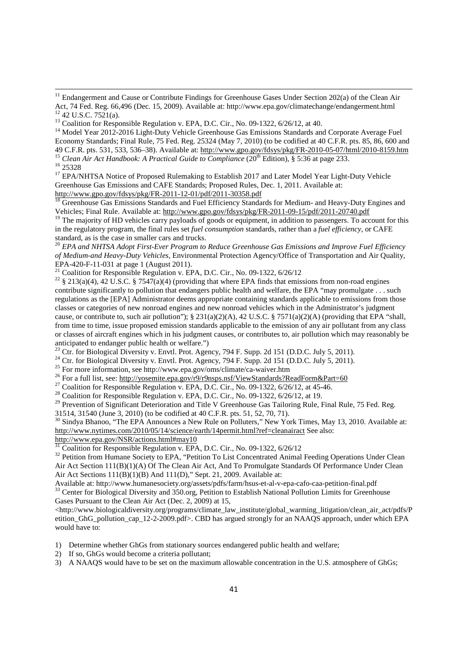<u>.</u>

<sup>17</sup> EPA/NHTSA Notice of Proposed Rulemaking to Establish 2017 and Later Model Year Light-Duty Vehicle Greenhouse Gas Emissions and CAFE Standards; Proposed Rules, Dec. 1, 2011. Available at: http://www.gpo.gov/fdsys/pkg/FR-2011-12-01/pdf/2011-30358.pdf

<sup>18</sup> Greenhouse Gas Emissions Standards and Fuel Efficiency Standards for Medium- and Heavy-Duty Engines and Vehicles; Final Rule. Available at: http://www.gpo.gov/fdsys/pkg/FR-2011-09-15/pdf/2011-20740.pdf

<sup>19</sup> The majority of HD vehicles carry payloads of goods or equipment, in addition to passengers. To account for this in the regulatory program, the final rules set *fuel consumption* standards, rather than a *fuel efficiency*, or CAFE standard, as is the case in smaller cars and trucks.

<sup>20</sup> *EPA and NHTSA Adopt First-Ever Program to Reduce Greenhouse Gas Emissions and Improve Fuel Efficiency of Medium-and Heavy-Duty Vehicles*, Environmental Protection Agency/Office of Transportation and Air Quality, EPA-420-F-11-031 at page 1 (August 2011).

 $21$  Coalition for Responsible Regulation v. EPA, D.C. Cir., No. 09-1322, 6/26/12

<sup>22</sup> § 213(a)(4), 42 U.S.C. § 7547(a)(4) (providing that where EPA finds that emissions from non-road engines contribute significantly to pollution that endangers public health and welfare, the EPA "may promulgate . . . such regulations as the [EPA] Administrator deems appropriate containing standards applicable to emissions from those classes or categories of new nonroad engines and new nonroad vehicles which in the Administrator's judgment cause, or contribute to, such air pollution");  $\frac{8}{231(a)(2)(A)}$ , 42 U.S.C.  $\frac{8}{571(a)(2)(A)}$  (providing that EPA "shall, from time to time, issue proposed emission standards applicable to the emission of any air pollutant from any class or classes of aircraft engines which in his judgment causes, or contributes to, air pollution which may reasonably be anticipated to endanger public health or welfare.")

 $23$  Ctr. for Biological Diversity v. Envtl. Prot. Agency, 794 F. Supp. 2d 151 (D.D.C. July 5, 2011).

<sup>24</sup> Ctr. for Biological Diversity v. Envtl. Prot. Agency, 794 F. Supp. 2d 151 (D.D.C. July 5, 2011).

<sup>25</sup> For more information, see http://www.epa.gov/oms/climate/ca-waiver.htm

<sup>26</sup> For a full list, see: http://yosemite.epa.gov/r9/r9nsps.nsf/ViewStandards?ReadForm&Part=60

<sup>27</sup> Coalition for Responsible Regulation v. EPA, D.C. Cir., No. 09-1322,  $6/26/12$ , at 45-46.

<sup>28</sup> Coalition for Responsible Regulation v. EPA, D.C. Cir., No. 09-1322, 6/26/12, at 19.

<sup>29</sup> Prevention of Significant Deterioration and Title V Greenhouse Gas Tailoring Rule, Final Rule, 75 Fed. Reg.

31514, 31540 (June 3, 2010) (to be codified at 40 C.F.R. pts. 51, 52, 70, 71).

<sup>30</sup> Sindya Bhanoo, "The EPA Announces a New Rule on Polluters," New York Times, May 13, 2010. Available at: http://www.nytimes.com/2010/05/14/science/earth/14permit.html?ref=cleanairact See also:

http://www.epa.gov/NSR/actions.html#may10

Coalition for Responsible Regulation v. EPA, D.C. Cir., No. 09-1322, 6/26/12

<sup>32</sup> Petition from Humane Society to EPA, "Petition To List Concentrated Animal Feeding Operations Under Clean Air Act Section 111(B)(1)(A) Of The Clean Air Act, And To Promulgate Standards Of Performance Under Clean Air Act Sections  $111(B)(1)(B)$  And  $111(D)$ ," Sept. 21, 2009. Available at:

Available at: http://www.humanesociety.org/assets/pdfs/farm/hsus-et-al-v-epa-cafo-caa-petition-final.pdf <sup>33</sup> Center for Biological Diversity and 350.org, Petition to Establish National Pollution Limits for Greenhouse Gases Pursuant to the Clean Air Act (Dec. 2, 2009) at 15,

<http://www.biologicaldiversity.org/programs/climate\_law\_institute/global\_warming\_litigation/clean\_air\_act/pdfs/P etition\_GhG\_pollution\_cap\_12-2-2009.pdf>. CBD has argued strongly for an NAAQS approach, under which EPA would have to:

1) Determine whether GhGs from stationary sources endangered public health and welfare;

2) If so, GhGs would become a criteria pollutant;

3) A NAAQS would have to be set on the maximum allowable concentration in the U.S. atmosphere of GhGs;

<sup>&</sup>lt;sup>11</sup> Endangerment and Cause or Contribute Findings for Greenhouse Gases Under Section 202(a) of the Clean Air Act, 74 Fed. Reg. 66,496 (Dec. 15, 2009). Available at: http://www.epa.gov/climatechange/endangerment.html  $12$  42 U.S.C. 7521(a).

 $13$  Coalition for Responsible Regulation v. EPA, D.C. Cir., No. 09-1322,  $6/26/12$ , at 40.

<sup>&</sup>lt;sup>14</sup> Model Year 2012-2016 Light-Duty Vehicle Greenhouse Gas Emissions Standards and Corporate Average Fuel Economy Standards; Final Rule, 75 Fed. Reg. 25324 (May 7, 2010) (to be codified at 40 C.F.R. pts. 85, 86, 600 and 49 C.F.R. pts. 531, 533, 536–38). Available at: http://www.gpo.gov/fdsys/pkg/FR-2010-05-07/html/2010-8159.htm <sup>15</sup> *Clean Air Act Handbook: A Practical Guide to Compliance* (20<sup>th</sup> Edition), § 5:36 at page 233.

 $16\overline{2}5328$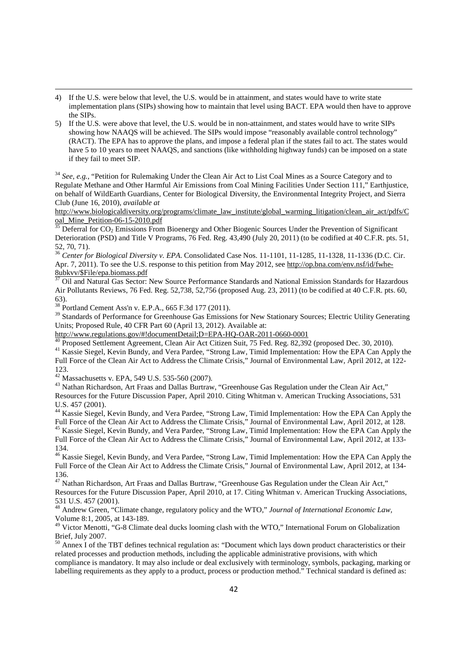- 4) If the U.S. were below that level, the U.S. would be in attainment, and states would have to write state implementation plans (SIPs) showing how to maintain that level using BACT. EPA would then have to approve the SIPs.
- 5) If the U.S. were above that level, the U.S. would be in non-attainment, and states would have to write SIPs showing how NAAQS will be achieved. The SIPs would impose "reasonably available control technology" (RACT). The EPA has to approve the plans, and impose a federal plan if the states fail to act. The states would have 5 to 10 years to meet NAAQS, and sanctions (like withholding highway funds) can be imposed on a state if they fail to meet SIP.

<sup>34</sup> *See, e.g.*, "Petition for Rulemaking Under the Clean Air Act to List Coal Mines as a Source Category and to Regulate Methane and Other Harmful Air Emissions from Coal Mining Facilities Under Section 111," Earthjustice, on behalf of WildEarth Guardians, Center for Biological Diversity, the Environmental Integrity Project, and Sierra Club (June 16, 2010), *available at* 

http://www.biologicaldiversity.org/programs/climate\_law\_institute/global\_warming\_litigation/clean\_air\_act/pdfs/C oal\_Mine\_Petition-06-15-2010.pdf

 $\overline{3}$  Deferral for CO<sub>2</sub> Emissions From Bioenergy and Other Biogenic Sources Under the Prevention of Significant Deterioration (PSD) and Title V Programs, 76 Fed. Reg. 43,490 (July 20, 2011) (to be codified at 40 C.F.R. pts. 51, 52, 70, 71).

<sup>36</sup> *Center for Biological Diversity v. EPA*. Consolidated Case Nos. 11-1101, 11-1285, 11-1328, 11-1336 (D.C. Cir. Apr. 7, 2011). To see the U.S. response to this petition from May 2012, see http://op.bna.com/env.nsf/id/fwhe- $\frac{8ubkvv/\$File/epa.biomass.pdf}{\frac{37}{2}}$ 

<sup>37</sup> Oil and Natural Gas Sector: New Source Performance Standards and National Emission Standards for Hazardous Air Pollutants Reviews, 76 Fed. Reg. 52,738, 52,756 (proposed Aug. 23, 2011) (to be codified at 40 C.F.R. pts. 60, 63).

<sup>38</sup> Portland Cement Ass'n v. E.P.A., 665 F.3d 177 (2011).

<u>.</u>

<sup>39</sup> Standards of Performance for Greenhouse Gas Emissions for New Stationary Sources; Electric Utility Generating Units; Proposed Rule, 40 CFR Part 60 (April 13, 2012). Available at:

http://www.regulations.gov/#!documentDetail;D=EPA-HQ-OAR-2011-0660-0001

<sup>40</sup> Proposed Settlement Agreement, Clean Air Act Citizen Suit, 75 Fed. Reg. 82,392 (proposed Dec. 30, 2010).

<sup>41</sup> Kassie Siegel, Kevin Bundy, and Vera Pardee, "Strong Law, Timid Implementation: How the EPA Can Apply the Full Force of the Clean Air Act to Address the Climate Crisis," Journal of Environmental Law, April 2012, at 122-123.

<sup>42</sup> Massachusetts v. EPA, 549 U.S. 535-560 (2007).

<sup>43</sup> Nathan Richardson, Art Fraas and Dallas Burtraw, "Greenhouse Gas Regulation under the Clean Air Act," Resources for the Future Discussion Paper, April 2010. Citing Whitman v. American Trucking Associations, 531 U.S. 457 (2001).

<sup>44</sup> Kassie Siegel, Kevin Bundy, and Vera Pardee, "Strong Law, Timid Implementation: How the EPA Can Apply the Full Force of the Clean Air Act to Address the Climate Crisis," Journal of Environmental Law, April 2012, at 128. <sup>45</sup> Kassie Siegel, Kevin Bundy, and Vera Pardee, "Strong Law, Timid Implementation: How the EPA Can Apply the Full Force of the Clean Air Act to Address the Climate Crisis," Journal of Environmental Law, April 2012, at 133-134.

<sup>46</sup> Kassie Siegel, Kevin Bundy, and Vera Pardee, "Strong Law, Timid Implementation: How the EPA Can Apply the Full Force of the Clean Air Act to Address the Climate Crisis," Journal of Environmental Law, April 2012, at 134- 136.

<sup>47</sup> Nathan Richardson, Art Fraas and Dallas Burtraw, "Greenhouse Gas Regulation under the Clean Air Act,"

Resources for the Future Discussion Paper, April 2010, at 17. Citing Whitman v. American Trucking Associations, 531 U.S. 457 (2001).

<sup>48</sup> Andrew Green, "Climate change, regulatory policy and the WTO," *Journal of International Economic Law,*  Volume 8:1, 2005, at 143-189.

<sup>49</sup> Victor Menotti, "G-8 Climate deal ducks looming clash with the WTO," International Forum on Globalization Brief, July 2007.

<sup>50</sup> Annex I of the TBT defines technical regulation as: "Document which lays down product characteristics or their related processes and production methods, including the applicable administrative provisions, with which compliance is mandatory. It may also include or deal exclusively with terminology, symbols, packaging, marking or labelling requirements as they apply to a product, process or production method." Technical standard is defined as: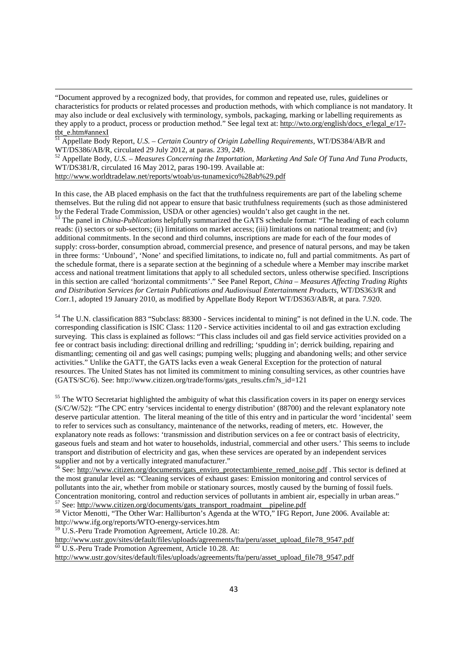"Document approved by a recognized body, that provides, for common and repeated use, rules, guidelines or characteristics for products or related processes and production methods, with which compliance is not mandatory. It may also include or deal exclusively with terminology, symbols, packaging, marking or labelling requirements as they apply to a product, process or production method." See legal text at: http://wto.org/english/docs\_e/legal\_e/17the  $\frac{1}{51}$  A  $\frac{1}{1}$ 

<sup>51</sup> Appellate Body Report, *U.S. – Certain Country of Origin Labelling Requirements,* WT/DS384/AB/R and WT/DS386/AB/R, circulated 29 July 2012, at paras. 239, 249.

<sup>52</sup> Appellate Body, *U.S. – Measures Concerning the Importation, Marketing And Sale Of Tuna And Tuna Products*, WT/DS381/R, circulated 16 May 2012, paras 190-199. Available at:

http://www.worldtradelaw.net/reports/wtoab/us-tunamexico%28ab%29.pdf

<u>.</u>

In this case, the AB placed emphasis on the fact that the truthfulness requirements are part of the labeling scheme themselves. But the ruling did not appear to ensure that basic truthfulness requirements (such as those administered by the Federal Trade Commission, USDA or other agencies) wouldn't also get caught in the net.

<sup>53</sup> The panel in *China-Publications* helpfully summarized the GATS schedule format: "The heading of each column reads: (i) sectors or sub-sectors; (ii) limitations on market access; (iii) limitations on national treatment; and (iv) additional commitments. In the second and third columns, inscriptions are made for each of the four modes of supply: cross-border, consumption abroad, commercial presence, and presence of natural persons, and may be taken in three forms: 'Unbound', 'None' and specified limitations, to indicate no, full and partial commitments. As part of the schedule format, there is a separate section at the beginning of a schedule where a Member may inscribe market access and national treatment limitations that apply to all scheduled sectors, unless otherwise specified. Inscriptions in this section are called 'horizontal commitments'." See Panel Report, *China – Measures Affecting Trading Rights and Distribution Services for Certain Publications and Audiovisual Entertainment Products*, WT/DS363/R and Corr.1, adopted 19 January 2010, as modified by Appellate Body Report WT/DS363/AB/R, at para. 7.920.

<sup>54</sup> The U.N. classification 883 "Subclass: 88300 - Services incidental to mining" is not defined in the U.N. code. The corresponding classification is ISIC Class: 1120 - Service activities incidental to oil and gas extraction excluding surveying. This class is explained as follows: "This class includes oil and gas field service activities provided on a fee or contract basis including: directional drilling and redrilling; 'spudding in'; derrick building, repairing and dismantling; cementing oil and gas well casings; pumping wells; plugging and abandoning wells; and other service activities." Unlike the GATT, the GATS lacks even a weak General Exception for the protection of natural resources. The United States has not limited its commitment to mining consulting services, as other countries have (GATS/SC/6). See: http://www.citizen.org/trade/forms/gats\_results.cfm?s\_id=121

<sup>55</sup> The WTO Secretariat highlighted the ambiguity of what this classification covers in its paper on energy services (S/C/W/52): "The CPC entry 'services incidental to energy distribution' (88700) and the relevant explanatory note deserve particular attention. The literal meaning of the title of this entry and in particular the word 'incidental' seem to refer to services such as consultancy, maintenance of the networks, reading of meters, etc. However, the explanatory note reads as follows: 'transmission and distribution services on a fee or contract basis of electricity, gaseous fuels and steam and hot water to households, industrial, commercial and other users.' This seems to include transport and distribution of electricity and gas, when these services are operated by an independent services supplier and not by a vertically integrated manufacturer."

<sup>56</sup> See: http://www.citizen.org/documents/gats\_enviro\_protectambiente\_remed\_noise.pdf . This sector is defined at the most granular level as: "Cleaning services of exhaust gases: Emission monitoring and control services of pollutants into the air, whether from mobile or stationary sources, mostly caused by the burning of fossil fuels. Concentration monitoring, control and reduction services of pollutants in ambient air, especially in urban areas." <sup>57</sup> See: http://www.citizen.org/documents/gats\_transport\_roadmaint\_\_pipeline.pdf

<sup>58</sup> Victor Menotti, "The Other War: Halliburton's Agenda at the WTO," IFG Report, June 2006. Available at: http://www.ifg.org/reports/WTO-energy-services.htm

<sup>59</sup> U.S.-Peru Trade Promotion Agreement, Article 10.28. At:

http://www.ustr.gov/sites/default/files/uploads/agreements/fta/peru/asset\_upload\_file78\_9547.pdf <sup>60</sup> U.S.-Peru Trade Promotion Agreement, Article 10.28. At:

http://www.ustr.gov/sites/default/files/uploads/agreements/fta/peru/asset\_upload\_file78\_9547.pdf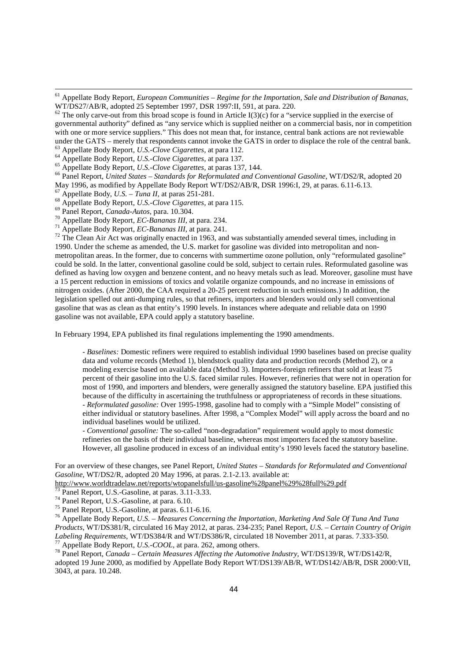<sup>66</sup> Panel Report, *United States – Standards for Reformulated and Conventional Gasoline*, WT/DS2/R, adopted 20 May 1996, as modified by Appellate Body Report WT/DS2/AB/R, DSR 1996:I, 29, at paras. 6.11-6.13.

<u>.</u>

<sup>71</sup> Appellate Body Report, *EC-Bananas III,* at para. 241.

<sup>72</sup> The Clean Air Act was originally enacted in 1963, and was substantially amended several times, including in 1990. Under the scheme as amended, the U.S. market for gasoline was divided into metropolitan and nonmetropolitan areas. In the former, due to concerns with summertime ozone pollution, only "reformulated gasoline" could be sold. In the latter, conventional gasoline could be sold, subject to certain rules. Reformulated gasoline was defined as having low oxygen and benzene content, and no heavy metals such as lead. Moreover, gasoline must have a 15 percent reduction in emissions of toxics and volatile organize compounds, and no increase in emissions of nitrogen oxides. (After 2000, the CAA required a 20-25 percent reduction in such emissions.) In addition, the legislation spelled out anti-dumping rules, so that refiners, importers and blenders would only sell conventional gasoline that was as clean as that entity's 1990 levels. In instances where adequate and reliable data on 1990 gasoline was not available, EPA could apply a statutory baseline.

In February 1994, EPA published its final regulations implementing the 1990 amendments.

- *Baselines:* Domestic refiners were required to establish individual 1990 baselines based on precise quality data and volume records (Method 1), blendstock quality data and production records (Method 2), or a modeling exercise based on available data (Method 3). Importers-foreign refiners that sold at least 75 percent of their gasoline into the U.S. faced similar rules. However, refineries that were not in operation for most of 1990, and importers and blenders, were generally assigned the statutory baseline. EPA justified this because of the difficulty in ascertaining the truthfulness or appropriateness of records in these situations. - *Reformulated gasoline:* Over 1995-1998, gasoline had to comply with a "Simple Model" consisting of either individual or statutory baselines. After 1998, a "Complex Model" will apply across the board and no individual baselines would be utilized.

- *Conventional gasoline:* The so-called "non-degradation" requirement would apply to most domestic refineries on the basis of their individual baseline, whereas most importers faced the statutory baseline. However, all gasoline produced in excess of an individual entity's 1990 levels faced the statutory baseline.

For an overview of these changes, see Panel Report, *United States – Standards for Reformulated and Conventional Gasoline*, WT/DS2/R, adopted 20 May 1996, at paras. 2.1-2.13. available at:

http://www.worldtradelaw.net/reports/wtopanelsfull/us-gasoline%28panel%29%28full%29.pdf

<sup>76</sup> Appellate Body Report, *U.S. – Measures Concerning the Importation, Marketing And Sale Of Tuna And Tuna Products*, WT/DS381/R, circulated 16 May 2012, at paras. 234-235; Panel Report, *U.S. – Certain Country of Origin Labeling Requirements*, WT/DS384/R and WT/DS386/R, circulated 18 November 2011, at paras. 7.333-350. <sup>77</sup> Appellate Body Report, *U.S.-COOL,* at para. 262, among others.

<sup>78</sup> Panel Report, *Canada – Certain Measures Affecting the Automotive Industry*, WT/DS139/R, WT/DS142/R, adopted 19 June 2000, as modified by Appellate Body Report WT/DS139/AB/R, WT/DS142/AB/R, DSR 2000:VII, 3043, at para. 10.248.

<sup>61</sup> Appellate Body Report, *European Communities – Regime for the Importation, Sale and Distribution of Bananas*, WT/DS27/AB/R, adopted 25 September 1997, DSR 1997:II, 591, at para. 220.

 $62$  The only carve-out from this broad scope is found in Article I(3)(c) for a "service supplied in the exercise of governmental authority" defined as "any service which is supplied neither on a commercial basis, nor in competition with one or more service suppliers." This does not mean that, for instance, central bank actions are not reviewable under the GATS – merely that respondents cannot invoke the GATS in order to displace the role of the central bank.

<sup>63</sup> Appellate Body Report, *U.S.-Clove Cigarettes,* at para 112.

<sup>64</sup> Appellate Body Report, *U.S.-Clove Cigarettes,* at para 137.

<sup>65</sup> Appellate Body Report, *U.S.-Clove Cigarettes,* at paras 137, 144.

<sup>67</sup> Appellate Body, *U.S. – Tuna II,* at paras 251-281.

<sup>68</sup> Appellate Body Report, *U.S.-Clove Cigarettes,* at para 115.

<sup>69</sup> Panel Report, *Canada-Autos*, para. 10.304.

<sup>70</sup> Appellate Body Report, *EC-Bananas III,* at para. 234.

Panel Report, U.S.-Gasoline, at paras. 3.11-3.33.

<sup>74</sup> Panel Report, U.S.-Gasoline, at para. 6.10.

<sup>75</sup> Panel Report, U.S.-Gasoline, at paras. 6.11-6.16.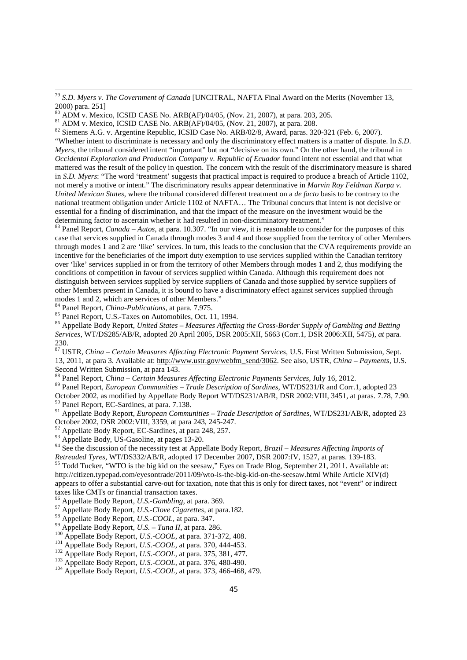<sup>80</sup> ADM v. Mexico, ICSID CASE No. ARB(AF)/04/05, (Nov. 21, 2007), at para. 203, 205.

<sup>82</sup> Siemens A.G. v. Argentine Republic, ICSID Case No. ARB/02/8, Award, paras. 320-321 (Feb. 6, 2007).

"Whether intent to discriminate is necessary and only the discriminatory effect matters is a matter of dispute. In *S.D. Myers*, the tribunal considered intent "important" but not "decisive on its own." On the other hand, the tribunal in *Occidental Exploration and Production Company v. Republic of Ecuador* found intent not essential and that what mattered was the result of the policy in question. The concern with the result of the discriminatory measure is shared in *S.D. Myers*: "The word 'treatment' suggests that practical impact is required to produce a breach of Article 1102, not merely a motive or intent." The discriminatory results appear determinative in *Marvin Roy Feldman Karpa v. United Mexican States*, where the tribunal considered different treatment on a *de facto* basis to be contrary to the national treatment obligation under Article 1102 of NAFTA… The Tribunal concurs that intent is not decisive or essential for a finding of discrimination, and that the impact of the measure on the investment would be the determining factor to ascertain whether it had resulted in non-discriminatory treatment."

<sup>83</sup> Panel Report, *Canada – Autos*, at para. 10.307. "In our view, it is reasonable to consider for the purposes of this case that services supplied in Canada through modes 3 and 4 and those supplied from the territory of other Members through modes 1 and 2 are 'like' services. In turn, this leads to the conclusion that the CVA requirements provide an incentive for the beneficiaries of the import duty exemption to use services supplied within the Canadian territory over 'like' services supplied in or from the territory of other Members through modes 1 and 2, thus modifying the conditions of competition in favour of services supplied within Canada. Although this requirement does not distinguish between services supplied by service suppliers of Canada and those supplied by service suppliers of other Members present in Canada, it is bound to have a discriminatory effect against services supplied through modes 1 and 2, which are services of other Members."

<sup>84</sup> Panel Report, *China-Publications,* at para. 7.975.

<u>.</u>

<sup>85</sup> Panel Report, U.S.-Taxes on Automobiles, Oct. 11, 1994.

<sup>86</sup> Appellate Body Report, *United States – Measures Affecting the Cross-Border Supply of Gambling and Betting Services*, WT/DS285/AB/R, adopted 20 April 2005, DSR 2005:XII, 5663 (Corr.1, DSR 2006:XII, 5475)*, at* para. 230.

<sup>87</sup> USTR, *China – Certain Measures Affecting Electronic Payment Services,* U.S. First Written Submission, Sept. 13, 2011, at para 3. Available at: http://www.ustr.gov/webfm\_send/3062. See also, USTR, *China – Payments,* U.S. Second Written Submission, at para 143.

88 Panel Report, *China – Certain Measures Affecting Electronic Payments Services*, July 16, 2012.

<sup>89</sup> Panel Report, *European Communities – Trade Description of Sardines*, WT/DS231/R and Corr.1, adopted 23 October 2002, as modified by Appellate Body Report WT/DS231/AB/R, DSR 2002:VIII, 3451, at paras. 7.78, 7.90. <sup>90</sup> Panel Report, EC-Sardines, at para. 7.138.

<sup>91</sup> Appellate Body Report, *European Communities – Trade Description of Sardines*, WT/DS231/AB/R, adopted 23 October 2002, DSR 2002:VIII, 3359, at para 243, 245-247.

<sup>92</sup> Appellate Body Report, EC-Sardines, at para 248, 257.

<sup>93</sup> Appellate Body, US-Gasoline, at pages 13-20.

<sup>94</sup> See the discussion of the necessity test at Appellate Body Report, *Brazil – Measures Affecting Imports of Retreaded Tyres*, WT/DS332/AB/R, adopted 17 December 2007, DSR 2007:IV, 1527, at paras. 139-183.

<sup>95</sup> Todd Tucker, "WTO is the big kid on the seesaw," Eyes on Trade Blog, September 21, 2011. Available at: http://citizen.typepad.com/eyesontrade/2011/09/wto-is-the-big-kid-on-the-seesaw.html While Article XIV(d) appears to offer a substantial carve-out for taxation, note that this is only for direct taxes, not "event" or indirect taxes like CMTs or financial transaction taxes.

<sup>96</sup> Appellate Body Report, *U.S.-Gambling,* at para. 369.

<sup>97</sup> Appellate Body Report, *U.S.-Clove Cigarettes,* at para.182.

<sup>98</sup> Appellate Body Report, *U.S.-COOL,* at para. 347.

<sup>100</sup> Appellate Body Report, *U.S.-COOL,* at para. 371-372, 408.

<sup>101</sup> Appellate Body Report, *U.S.-COOL,* at para. 370, 444-453.

<sup>102</sup> Appellate Body Report, *U.S.-COOL,* at para. 375, 381, 477.

<sup>103</sup> Appellate Body Report, *U.S.-COOL,* at para. 376, 480-490.

<sup>104</sup> Appellate Body Report, *U.S.-COOL,* at para. 373, 466-468, 479.

<sup>79</sup> *S.D. Myers v. The Government of Canada* [UNCITRAL, NAFTA Final Award on the Merits (November 13, 2000) para. 251]

<sup>81</sup> ADM v. Mexico, ICSID CASE No. ARB(AF)/04/05, (Nov. 21, 2007), at para. 208.

<sup>99</sup> Appellate Body Report, *U.S. – Tuna II,* at para. 286.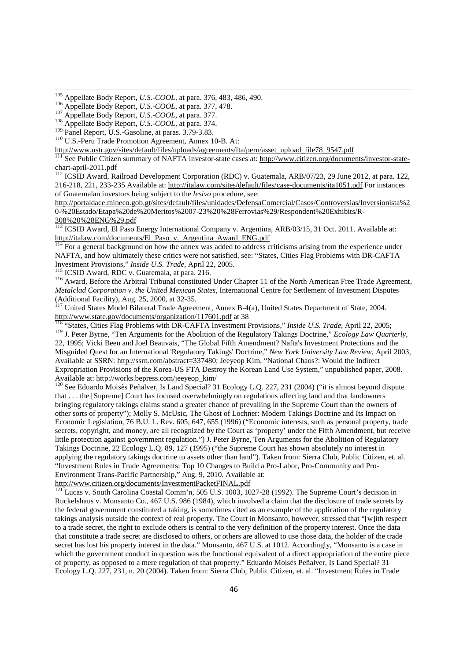<u>.</u>

http://www.ustr.gov/sites/default/files/uploads/agreements/fta/peru/asset\_upload\_file78\_9547.pdf

<sup>111</sup> See Public Citizen summary of NAFTA investor-state cases at: http://www.citizen.org/documents/investor-state- $chart-april-2011.pdf  
112  
12  
12  
12  
12  
12  
12  
12  
12  
12  
12  
12  
12  
12  
12  
12  
12  
12  
12  
12  
12  
12  
1$ </u>

<sup>112</sup> ICSID Award, Railroad Development Corporation (RDC) v. Guatemala, ARB/07/23, 29 June 2012, at para. 122, 216-218, 221, 233-235 Available at: http://italaw.com/sites/default/files/case-documents/ita1051.pdf For instances of Guatemalan investors being subject to the *lesivo* procedure, see:

http://portaldace.mineco.gob.gt/sites/default/files/unidades/DefensaComercial/Casos/Controversias/Inversionista%2 0-%20Estado/Etapa%20de%20Meritos%2007-23%20%28Ferrovias%29/Respondent%20Exhibits/R-308%20%28ENG%29.pdf

<sup>113</sup> ICSID Award, El Paso Energy International Company v. Argentina, ARB/03/15, 31 Oct. 2011. Available at: http://italaw.com/documents/El\_Paso\_v.\_Argentina\_Award\_ENG.pdf<br>114 Ecc a set al. 11

<sup>114</sup> For a general background on how the annex was added to address criticisms arising from the experience under NAFTA, and how ultimately these critics were not satisfied, see: "States, Cities Flag Problems with DR-CAFTA Investment Provisions," *Inside U.S. Trade,* April 22, 2005.

<sup>115</sup> ICSID Award, RDC v. Guatemala, at para. 216.

<sup>116</sup> Award, Before the Arbitral Tribunal constituted Under Chapter 11 of the North American Free Trade Agreement, *Metalclad Corporation v. the United Mexican States*, International Centre for Settlement of Investment Disputes (Additional Facility), Aug. 25, 2000, at 32-35.

<sup>117</sup> United States Model Bilateral Trade Agreement, Annex B-4(a), United States Department of State, 2004. http://www.state.gov/documents/organization/117601.pdf at 38

<sup>118</sup> "States, Cities Flag Problems with DR-CAFTA Investment Provisions," *Inside U.S. Trade,* April 22, 2005; <sup>119</sup> J. Peter Byrne, "Ten Arguments for the Abolition of the Regulatory Takings Doctrine," *Ecology Law Quarterly,*  22, 1995; Vicki Been and Joel Beauvais, "The Global Fifth Amendment? Nafta's Investment Protections and the Misguided Quest for an International 'Regulatory Takings' Doctrine," *New York University Law Review,* April 2003, Available at SSRN: http://ssrn.com/abstract=337480; Jeeyeop Kim, "National Chaos?: Would the Indirect Expropriation Provisions of the Korea-US FTA Destroy the Korean Land Use System," unpublished paper, 2008. Available at: http://works.bepress.com/jeeyeop\_kim/

<sup>120</sup> See Eduardo Moisès Peñalver, Is Land Special? 31 Ecology L.Q. 227, 231 (2004) ("it is almost beyond dispute that . . . the [Supreme] Court has focused overwhelmingly on regulations affecting land and that landowners bringing regulatory takings claims stand a greater chance of prevailing in the Supreme Court than the owners of other sorts of property"); Molly S. McUsic, The Ghost of Lochner: Modern Takings Doctrine and Its Impact on Economic Legislation, 76 B.U. L. Rev. 605, 647, 655 (1996) ("Economic interests, such as personal property, trade secrets, copyright, and money, are all recognized by the Court as 'property' under the Fifth Amendment, but receive little protection against government regulation.") J. Peter Byrne, Ten Arguments for the Abolition of Regulatory Takings Doctrine, 22 Ecology L.Q. 89, 127 (1995) ("the Supreme Court has shown absolutely no interest in applying the regulatory takings doctrine to assets other than land"). Taken from: Sierra Club, Public Citizen, et. al. "Investment Rules in Trade Agreements: Top 10 Changes to Build a Pro-Labor, Pro-Community and Pro-Environment Trans-Pacific Partnership," Aug. 9, 2010. Available at:

http://www.citizen.org/documents/InvestmentPacketFINAL.pdf

<sup>121</sup> Lucas v. South Carolina Coastal Comm'n, 505 U.S. 1003, 1027-28 (1992). The Supreme Court's decision in Ruckelshaus v. Monsanto Co., 467 U.S. 986 (1984), which involved a claim that the disclosure of trade secrets by the federal government constituted a taking, is sometimes cited as an example of the application of the regulatory takings analysis outside the context of real property. The Court in Monsanto, however, stressed that "[w]ith respect to a trade secret, the right to exclude others is central to the very definition of the property interest. Once the data that constitute a trade secret are disclosed to others, or others are allowed to use those data, the holder of the trade secret has lost his property interest in the data." Monsanto, 467 U.S. at 1012. Accordingly, "Monsanto is a case in which the government conduct in question was the functional equivalent of a direct appropriation of the entire piece of property, as opposed to a mere regulation of that property." Eduardo Moisès Peñalver, Is Land Special? 31 Ecology L.Q. 227, 231, n. 20 (2004). Taken from: Sierra Club, Public Citizen, et. al. "Investment Rules in Trade

<sup>105</sup> Appellate Body Report, *U.S.-COOL,* at para. 376, 483, 486, 490.

<sup>106</sup> Appellate Body Report, *U.S.-COOL,* at para. 377, 478.

<sup>107</sup> Appellate Body Report, *U.S.-COOL,* at para. 377.

<sup>108</sup> Appellate Body Report, *U.S.-COOL,* at para. 374.

<sup>&</sup>lt;sup>109</sup> Panel Report, U.S.-Gasoline, at paras. 3.79-3.83.

<sup>110</sup> U.S.-Peru Trade Promotion Agreement, Annex 10-B. At: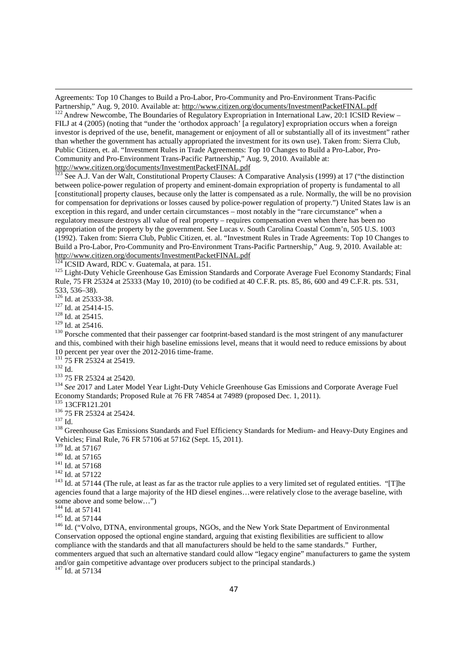Agreements: Top 10 Changes to Build a Pro-Labor, Pro-Community and Pro-Environment Trans-Pacific Partnership," Aug. 9, 2010. Available at: http://www.citizen.org/documents/InvestmentPacketFINAL.pdf <sup>122</sup> Andrew Newcombe, The Boundaries of Regulatory Expropriation in International Law, 20:1 ICSID Review – FILJ at 4 (2005) (noting that "under the 'orthodox approach' [a regulatory] expropriation occurs when a foreign investor is deprived of the use, benefit, management or enjoyment of all or substantially all of its investment" rather than whether the government has actually appropriated the investment for its own use). Taken from: Sierra Club, Public Citizen, et. al. "Investment Rules in Trade Agreements: Top 10 Changes to Build a Pro-Labor, Pro-Community and Pro-Environment Trans-Pacific Partnership," Aug. 9, 2010. Available at:

http://www.citizen.org/documents/InvestmentPacketFINAL.pdf

See A.J. Van der Walt, Constitutional Property Clauses: A Comparative Analysis (1999) at 17 ("the distinction between police-power regulation of property and eminent-domain expropriation of property is fundamental to all [constitutional] property clauses, because only the latter is compensated as a rule. Normally, the will be no provision for compensation for deprivations or losses caused by police-power regulation of property.") United States law is an exception in this regard, and under certain circumstances – most notably in the "rare circumstance" when a regulatory measure destroys all value of real property – requires compensation even when there has been no appropriation of the property by the government. See Lucas v. South Carolina Coastal Comm'n, 505 U.S. 1003 (1992). Taken from: Sierra Club, Public Citizen, et. al. "Investment Rules in Trade Agreements: Top 10 Changes to Build a Pro-Labor, Pro-Community and Pro-Environment Trans-Pacific Partnership," Aug. 9, 2010. Available at: http://www.citizen.org/documents/InvestmentPacketFINAL.pdf

<sup>124</sup> ICSID Award, RDC v. Guatemala, at para. 151.

<sup>125</sup> Light-Duty Vehicle Greenhouse Gas Emission Standards and Corporate Average Fuel Economy Standards; Final Rule, 75 FR 25324 at 25333 (May 10, 2010) (to be codified at 40 C.F.R. pts. 85, 86, 600 and 49 C.F.R. pts. 531, 533, 536–38).

<sup>126</sup> Id. at 25333-38.

<sup>127</sup> Id. at 25414-15.

 $128$  Id. at 25415.

<sup>129</sup> Id. at 25416.

<sup>130</sup> Porsche commented that their passenger car footprint-based standard is the most stringent of any manufacturer and this, combined with their high baseline emissions level, means that it would need to reduce emissions by about 10 percent per year over the 2012-2016 time-frame.

<sup>131</sup> 75 FR 25324 at 25419.

 $^{132}$  Id.

<u>.</u>

<sup>133</sup> 75 FR 25324 at 25420.

<sup>134</sup> See 2017 and Later Model Year Light-Duty Vehicle Greenhouse Gas Emissions and Corporate Average Fuel Economy Standards; Proposed Rule at 76 FR 74854 at 74989 (proposed Dec. 1, 2011).

<sup>135</sup> 13CFR121.201

<sup>136</sup> 75 FR 25324 at 25424.

<sup>137</sup> Id.

<sup>138</sup> Greenhouse Gas Emissions Standards and Fuel Efficiency Standards for Medium- and Heavy-Duty Engines and Vehicles; Final Rule, 76 FR 57106 at 57162 (Sept. 15, 2011).

<sup>139</sup> Id. at 57167

<sup>140</sup> Id. at 57165

<sup>141</sup> Id. at 57168

<sup>142</sup> Id. at 57122

<sup>143</sup> Id. at 57144 (The rule, at least as far as the tractor rule applies to a very limited set of regulated entities. "[T]he agencies found that a large majority of the HD diesel engines…were relatively close to the average baseline, with some above and some below…")

<sup>144</sup> Id. at 57141

 $^{145}$  Id. at 57144

<sup>146</sup> Id. ("Volvo, DTNA, environmental groups, NGOs, and the New York State Department of Environmental Conservation opposed the optional engine standard, arguing that existing flexibilities are sufficient to allow compliance with the standards and that all manufacturers should be held to the same standards." Further, commenters argued that such an alternative standard could allow "legacy engine" manufacturers to game the system and/or gain competitive advantage over producers subject to the principal standards.)

<sup>147</sup> Id. at 57134